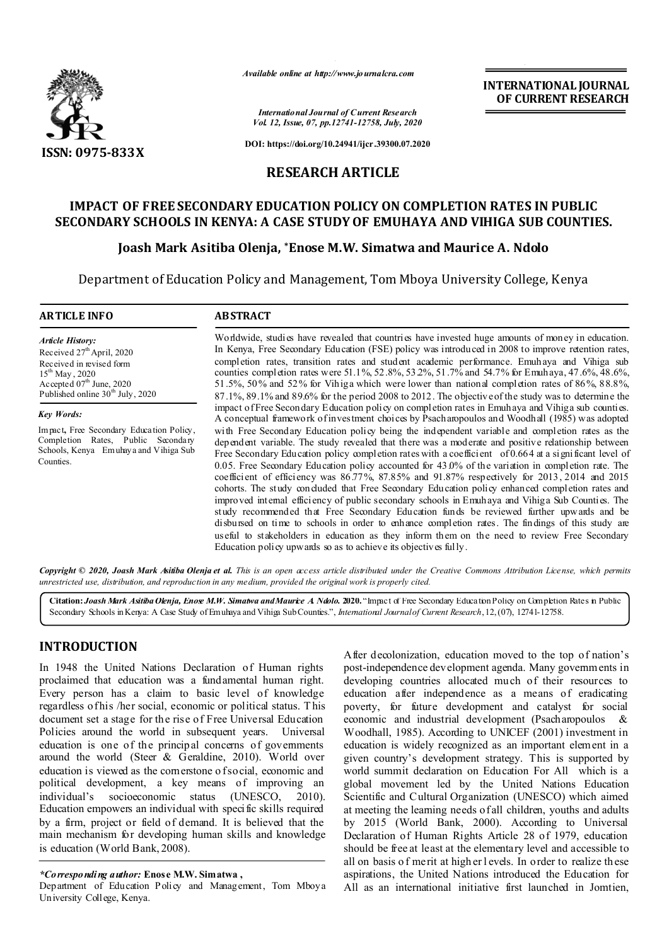

*Available online at http://www.journalcra.com*

*International Journal of Current Research Vol. 12, Issue, 07, pp.12741-12758, July, 2020*

**DOI: https://doi.org/10.24941/ijcr.39300.07.2020**

**RESEARCH ARTICLE**

## **IMPACT OF FREE SECONDARY EDUCATION POLICY ON COMPLETION RATES IN PUBLIC SECONDARY SCHOOLS IN KENYA: A CASE STUDY OF EMUHAYA AND VIHIGA SUB COUNTIES.**

## **Joash Mark Asitiba Olenja, \*Enose M.W. Simatwa and Maurice A. Ndolo**

Department of Education Policy and Management, Tom Mboya University College, Kenya

| <b>ARTICLE INFO</b>                                                                                                                                                                                      | <b>ABSTRACT</b>                                                                                                                                                                                                                                                                                                                                                                                                                                                                                                                                                                                                                                                                                                                                                                                                                                                                                                                                                                                                                                |
|----------------------------------------------------------------------------------------------------------------------------------------------------------------------------------------------------------|------------------------------------------------------------------------------------------------------------------------------------------------------------------------------------------------------------------------------------------------------------------------------------------------------------------------------------------------------------------------------------------------------------------------------------------------------------------------------------------------------------------------------------------------------------------------------------------------------------------------------------------------------------------------------------------------------------------------------------------------------------------------------------------------------------------------------------------------------------------------------------------------------------------------------------------------------------------------------------------------------------------------------------------------|
| <b>Article History:</b><br>Received 27 <sup>th</sup> April, 2020<br>Received in revised form<br>$15^{\text{th}}$ May, 2020<br>Accepted $07th$ June, 2020<br>Published online 30 <sup>th</sup> July, 2020 | Worldwide, studies have revealed that countries have invested huge amounts of money in education.<br>In Kenya, Free Secondary Education (FSE) policy was introduced in 2008 to improve retention rates,<br>completion rates, transition rates and student academic performance. Emulaya and Vihiga sub<br>counties completion rates were 51.1%, 52.8%, 53.2%, 51.7% and 54.7% for Emuhaya, 47.6%, 48.6%,<br>51.5%, 50% and 52% for Vihiga which were lower than national completion rates of 86%, 88.8%,                                                                                                                                                                                                                                                                                                                                                                                                                                                                                                                                       |
| <b>Key Words:</b>                                                                                                                                                                                        | $87.1\%$ , $89.1\%$ and $89.6\%$ for the period 2008 to 2012. The objective of the study was to determine the<br>impact of Free Secondary Education policy on completion rates in Emuhaya and Vihiga sub counties.<br>A conceptual framework of investment choices by Psach ampoulos and Woodhall (1985) was adopted                                                                                                                                                                                                                                                                                                                                                                                                                                                                                                                                                                                                                                                                                                                           |
| Impact, Free Secondary Education Policy,<br>Completion Rates, Public Secondary<br>Schools, Kenya Emuhaya and Vihiga Sub<br>Counties.                                                                     | with Free Secondary Education policy being the independent variable and completion rates as the<br>dependent variable. The study revealed that there was a moderate and positive relationship between<br>Free Secondary Education policy completion rates with a coefficient of 0.664 at a significant level of<br>0.05. Free Secondary Education policy accounted for 43.0% of the variation in completion rate. The<br>coefficient of efficiency was $86.77\%$ , $87.85\%$ and $91.87\%$ respectively for $2013$ , $2014$ and $2015$<br>cohorts. The study concluded that Free Secondary Education policy enhanced completion rates and<br>improved internal efficiency of public secondary schools in Emuhaya and Vihiga Sub Counties. The<br>study recommended that Free Secondary Education funds be reviewed further upwards and be<br>disbursed on time to schools in order to enhance completion rates. The findings of this study are<br>useful to stakeholders in education as they inform them on the need to review Free Secondary |

Copyright © 2020, Joash Mark Asitiba Olenja et al. This is an open access article distributed under the Creative Commons Attribution License, which permits *unrestricted use, distribution, and reproduction in any medium, provided the original work is properly cited.*

**Citation:***Joash Mark Asitiba Olenja, Enose M.W. Simatwa and Maurice A. Ndolo.* **2020.** "Impact of Free Secondary Education Policy on Completion Rates in Public Secondary Schools in Kenya: A Case Study of Emuhaya and Vihiga Sub Counties.", *International Journal of Current Research*, 12, (07), 12741-12758.

## **INTRODUCTION**

In 1948 the United Nations Declaration of Human rights proclaimed that education was a fundamental human right. Every person has a claim to basic level of knowledge regardless of his /her social, economic or political status. T his document set a stage for the rise of Free Universal Education Policies around the world in subsequent years. Universal education is one of the principal concerns of governments around the world (Steer & Geraldine, 2010). World over education is viewed as the cornerstone of social, economic and political development, a key means of improving an individual's socioeconomic status (UNESCO, 2010). Education empowers an individual with specific skills required by a firm, project or field of demand. It is believed that the main mechanism for developing human skills and knowledge is education (World Bank, 2008).

Department of Education Policy and Management, Tom Mboya University College, Kenya.

After decolonization, education moved to the top of nation's post-independence development agenda. Many governments in developing countries allocated much of their resources to education after independence as a means of eradicating poverty, for future development and catalyst for social economic and industrial development (Psacharopoulos & Woodhall, 1985). According to UNICEF (2001) investment in education is widely recognized as an important element in a given country's development strategy. This is supported by world summit declaration on Education For All which is a global movement led by the United Nations Education Scientific and Cultural Organization (UNESCO) which aimed at meeting the learning needs of all children, youths and adults by 2015 (World Bank, 2000). According to Universal Declaration of Human Rights Article 28 of 1979, education should be free at least at the elementary level and accessible to all on basis o f merit at high er l evels. In order to realize th ese aspirations, the United Nations introduced the Education for All as an international initiative first launched in Jomtien,

**INTERNATIONAL JOURNAL OF CURRENT RESEARCH**

*<sup>\*</sup>Corresponding author:* **Enose M.W. Simatwa ,**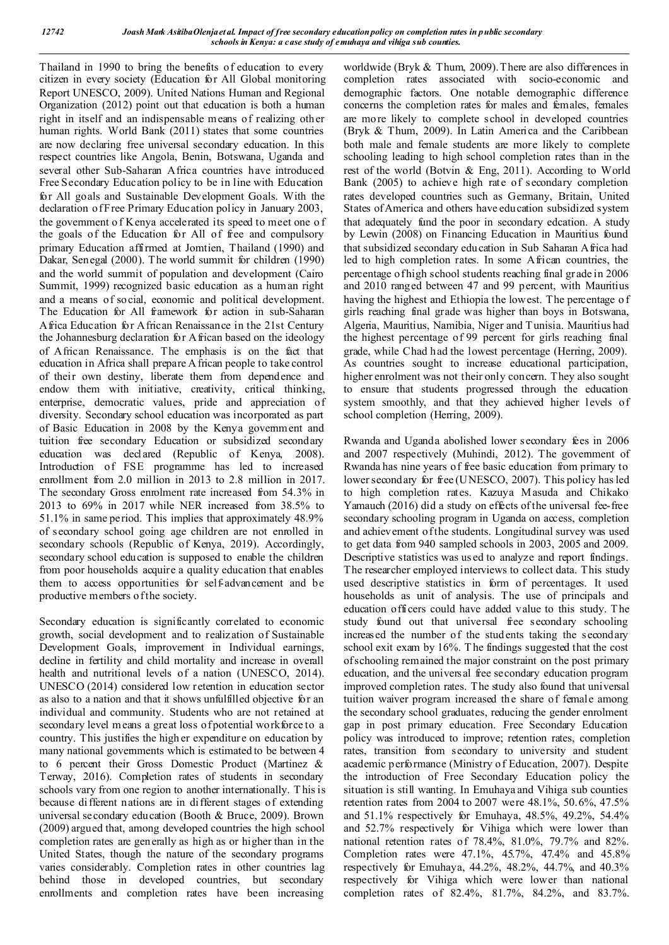Thailand in 1990 to bring the benefits of education to every citizen in every society (Education for All Global monitoring Report UNESCO, 2009). United Nations Human and Regional Organization (2012) point out that education is both a human right in itself and an indispensable means of realizing other human rights. World Bank (2011) states that some countries are now declaring free universal secondary education. In this respect countries like Angola, Benin, Botswana, Uganda and several other Sub-Saharan Africa countries have introduced Free Secondary Education policy to be in line with Education for All goals and Sustainable Development Goals. With the declaration of Free Primary Education policy in January 2003, the government o f Kenya accelerated its speed to meet one o f the goals of the Education for All of free and compulsory primary Education affirmed at Jomtien, Thailand (1990) and Dakar, Senegal (2000). The world summit for children (1990) and the world summit of population and development (Cairo Summit, 1999) recognized basic education as a human right and a means of social, economic and political development. The Education for All framework for action in sub-Saharan Africa Education for African Renaissance in the 21st Century the Johannesburg declaration for African based on the ideology of African Renaissance. The emphasis is on the fact that education in Africa shall prepare A frican people to take control of their own destiny, liberate them from dependence and endow them with initiative, creativity, critical thinking, enterprise, democratic values, pride and appreciation of diversity. Secondary school education was incorporated as part of Basic Education in 2008 by the Kenya government and tuition free secondary Education or subsidized secondary education was declared (Republic of Kenya, 2008). Introduction of FSE programme has led to increased enrollment from 2.0 million in 2013 to 2.8 million in 2017. The secondary Gross enrolment rate increased from 54.3% in 2013 to 69% in 2017 while NER increased from 38.5% to 51.1% in same period. This implies that approximately 48.9% of secondary school going age children are not enrolled in secondary schools (Republic of Kenya, 2019). Accordingly, secondary school education is supposed to enable the children from poor households acquire a quality education that enables them to access opportunities for self-advancement and be productive members of the society.

Secondary education is significantly correlated to economic growth, social development and to realization of Sustainable Development Goals, improvement in Individual earnings, decline in fertility and child mortality and increase in overall health and nutritional levels of a nation (UNESCO, 2014). UNESCO (2014) considered low retention in education sector as also to a nation and that it shows unfulfilled objective for an individual and community. Students who are not retained at secondary level means a great loss of potential workforce to a country. This justifies the high er expenditure on education by many national governments which is estimated to be between 4 to 6 percent their Gross Domestic Product (Martinez & Terway, 2016). Completion rates of students in secondary schools vary from one region to another internationally. T his is because different nations are in different stages of extending universal secondary education (Booth & Bruce, 2009). Brown (2009) argued that, among developed countries the high school completion rates are generally as high as or higher than in the United States, though the nature of the secondary programs varies considerably. Completion rates in other countries lag behind those in developed countries, but secondary enrollments and completion rates have been increasing

worldwide (Bryk & Thum, 2009). There are also differences in completion rates associated with socio-economic and demographic factors. One notable demographic difference concerns the completion rates for males and females, females are more likely to complete school in developed countries (Bryk & Thum, 2009). In Latin America and the Caribbean both male and female students are more likely to complete schooling leading to high school completion rates than in the rest of the world (Botvin & Eng, 2011). According to World Bank (2005) to achieve high rate of secondary completion rates developed countries such as Germany, Britain, United States of America and others have education subsidized system that adequately fund the poor in secondary edcation. A study by Lewin (2008) on Financing Education in Mauritius found that subsidized secondary education in Sub Saharan Africa had led to high completion rates. In some African countries, the percentage of high school students reaching final grade in 2006 and 2010 ranged between 47 and 99 percent, with Mauritius having the highest and Ethiopia the lowest. The percentage o f girls reaching final grade was higher than boys in Botswana, Algeria, Mauritius, Namibia, Niger and Tunisia. Mauritius had the highest percentage of 99 percent for girls reaching final grade, while Chad had the lowest percentage (Herring, 2009). As countries sought to increase educational participation, higher enrolment was not their only concern. They also sought to ensure that students progressed through the education system smoothly, and that they achieved higher levels of school completion (Herring, 2009).

Rwanda and Uganda abolished lower secondary fees in 2006 and 2007 respectively (Muhindi, 2012). The government of Rwanda has nine years of free basic education from primary to lower secondary for free (UNESCO, 2007). This policy has led to high completion rates. Kazuya Masuda and Chikako Yamauch (2016) did a study on effects of the universal fee-free secondary schooling program in Uganda on access, completion and achievement of the students. Longitudinal survey was used to get data from 940 sampled schools in 2003, 2005 and 2009. Descriptive statistics was us ed to analyze and report findings. The researcher employed interviews to collect data. This study used descriptive statistics in form of percentages. It used households as unit of analysis. The use of principals and education officers could have added value to this study. T he study found out that universal free secondary schooling increased the number of the stud ents taking the secondary school exit exam by 16%. T he findings suggested that the cost of schooling remained the major constraint on the post primary education, and the universal free secondary education program improved completion rates. The study also found that universal tuition waiver program increased the share of female among the secondary school graduates, reducing the gender enrolment gap in post primary education. Free Secondary Education policy was introduced to improve; retention rates, completion rates, transition from secondary to university and student academic performance (Ministry of Education, 2007). Despite the introduction of Free Secondary Education policy the situation is still wanting. In Emuhaya and Vihiga sub counties retention rates from 2004 to 2007 were 48.1%, 50.6%, 47.5% and 51.1% respectively for Emuhaya, 48.5%, 49.2%, 54.4% and 52.7% respectively for Vihiga which were lower than national retention rates of 78.4%, 81.0%, 79.7% and 82%. Completion rates were 47.1%, 45.7%, 47.4% and 45.8% respectively for Emuhaya, 44.2%, 48.2%, 44.7%, and 40.3% respectively for Vihiga which were lower than national completion rates of 82.4%, 81.7%, 84.2%, and 83.7%.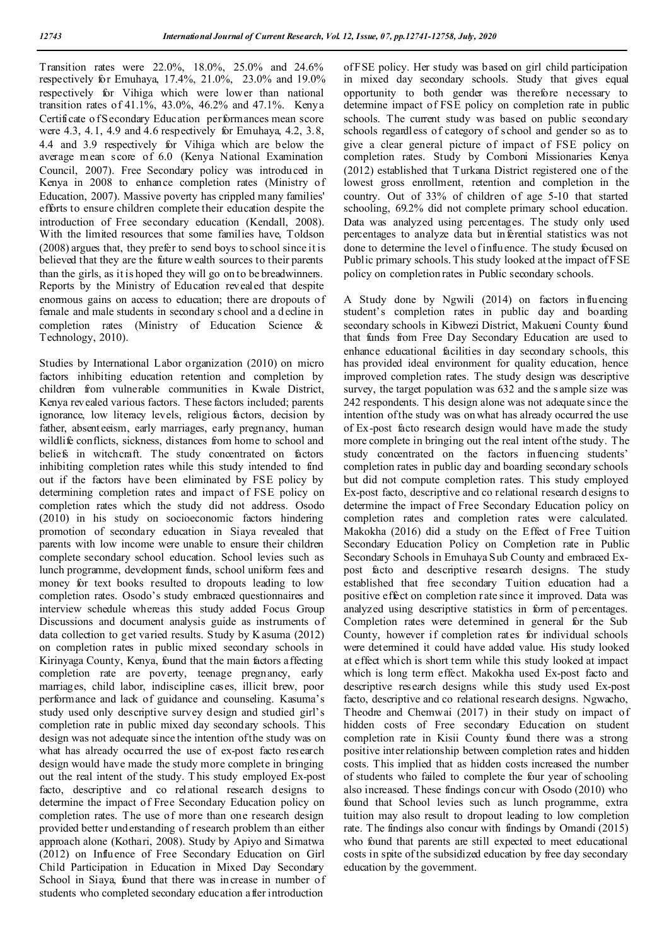Transition rates were 22.0%, 18.0%, 25.0% and 24.6% respectively for Emuhaya, 17.4%, 21.0%, 23.0% and 19.0% respectively for Vihiga which were lower than national transition rates of 41.1%, 43.0%, 46.2% and 47.1%. Kenya Certificate o f Secondary Education performances mean score were 4.3, 4.1, 4.9 and 4.6 respectively for Emuhaya, 4.2, 3.8, 4.4 and 3.9 respectively for Vihiga which are below the average mean score of 6.0 (Kenya National Examination Council, 2007). Free Secondary policy was introduced in Kenya in 2008 to enhance completion rates (Ministry of Education, 2007). Massive poverty has crippled many families' efforts to ensure children complete their education despite the introduction of Free secondary education (Kendall, 2008). With the limited resources that some families have, Toldson (2008) argues that, they prefer to send boys to school since it is believed that they are the future w ealth sources to their parents than the girls, as it is hoped they will go on to be breadwinners. Reports by the Ministry of Education revealed that despite enormous gains on access to education; there are dropouts of female and male students in secondary s chool and a d ecline in completion rates (Ministry of Education Science & Technology, 2010).

Studies by International Labor organization (2010) on micro factors inhibiting education retention and completion by children from vulnerable communities in Kwale District, Kenya revealed various factors. These factors included; parents ignorance, low literacy levels, religious factors, decision by father, absenteeism, early marriages, early pregnancy, human wildlife conflicts, sickness, distances from home to school and beliefs in witchcraft. The study concentrated on factors inhibiting completion rates while this study intended to find out if the factors have been eliminated by FSE policy by determining completion rates and impact of FSE policy on completion rates which the study did not address. Osodo (2010) in his study on socioeconomic factors hindering promotion of secondary education in Siaya revealed that parents with low income were unable to ensure their children complete secondary school education. School levies such as lunch programme, development funds, school uniform fees and money for text books resulted to dropouts leading to low completion rates. Osodo's study embraced questionnaires and interview schedule whereas this study added Focus Group Discussions and document analysis guide as instruments of data collection to get varied results. Study by K asuma (2012) on completion rates in public mixed secondary schools in Kirinyaga County, Kenya, found that the main factors affecting completion rate are poverty, teenage pregnancy, early marriages, child labor, indiscipline cases, illicit brew, poor performance and lack of guidance and counseling. Kasuma's study used only descriptive survey design and studied girl's completion rate in public mixed day secondary schools. This design was not adequate since the intention of the study was on what has already occurred the use of ex-post facto research design would have made the study more complete in bringing out the real intent of the study. T his study employed Ex-post facto, descriptive and co relational research designs to determine the impact of Free Secondary Education policy on completion rates. The use of more than one research design provided better understanding of research problem than either approach alone (Kothari, 2008). Study by Apiyo and Simatwa (2012) on Influence of Free Secondary Education on Girl Child Participation in Education in Mixed Day Secondary School in Siaya, found that there was increase in number of students who completed secondary education after introduction

of FSE policy. Her study was based on girl child participation in mixed day secondary schools. Study that gives equal opportunity to both gender was therefore necessary to determine impact of FSE policy on completion rate in public schools. The current study was based on public secondary schools regardless of category of school and gender so as to give a clear general picture of impact of FSE policy on completion rates. Study by Comboni Missionaries Kenya (2012) established that Turkana District registered one of the lowest gross enrollment, retention and completion in the country. Out of 33% of children of age 5-10 that started schooling, 69.2% did not complete primary school education. Data was analyzed using percentages. The study only used percentages to analyze data but inferential statistics was not done to determine the level o finfluence. The study focused on Public primary schools. This study looked at the impact of FSE policy on completion rates in Public secondary schools.

A Study done by Ngwili (2014) on factors influencing student's completion rates in public day and boarding secondary schools in Kibwezi District, Makueni County found that funds from Free Day Secondary Education are used to enhance educational facilities in day secondary schools, this has provided ideal environment for quality education, hence improved completion rates. The study design was descriptive survey, the target population was 632 and the s ample size was 242 respondents. T his design alone was not adequate since the intention of the study was on what has already occurred the use of Ex-post facto research design would have made the study more complete in bringing out the real intent of the study. The study concentrated on the factors influencing students' completion rates in public day and boarding secondary schools but did not compute completion rates. This study employed Ex-post facto, descriptive and co relational research d esigns to determine the impact of Free Secondary Education policy on completion rates and completion rates were calculated. Makokha (2016) did a study on the Effect of Free Tuition Secondary Education Policy on Completion rate in Public Secondary Schools in Emuhaya Sub County and embraced Expost facto and descriptive research designs. The study established that free secondary Tuition education had a positive effect on completion rate since it improved. Data was analyzed using descriptive statistics in form of percentages. Completion rates were determined in general for the Sub County, however if completion rates for individual schools were determined it could have added value. His study looked at effect which is short term while this study looked at impact which is long term effect. Makokha used Ex-post facto and descriptive research designs while this study used Ex-post facto, descriptive and co relational research designs. Ngwacho, Theodre and Chemwai (2017) in their study on impact of hidden costs of Free secondary Education on student completion rate in Kisii County found there was a strong positive inter relationship between completion rates and hidden costs. This implied that as hidden costs increased the number of students who failed to complete the four year of schooling also increased. These findings concur with Osodo (2010) who found that School levies such as lunch programme, extra tuition may also result to dropout leading to low completion rate. The findings also concur with findings by Omandi (2015) who found that parents are still expected to meet educational costs in spite of the subsidized education by free day secondary education by the government.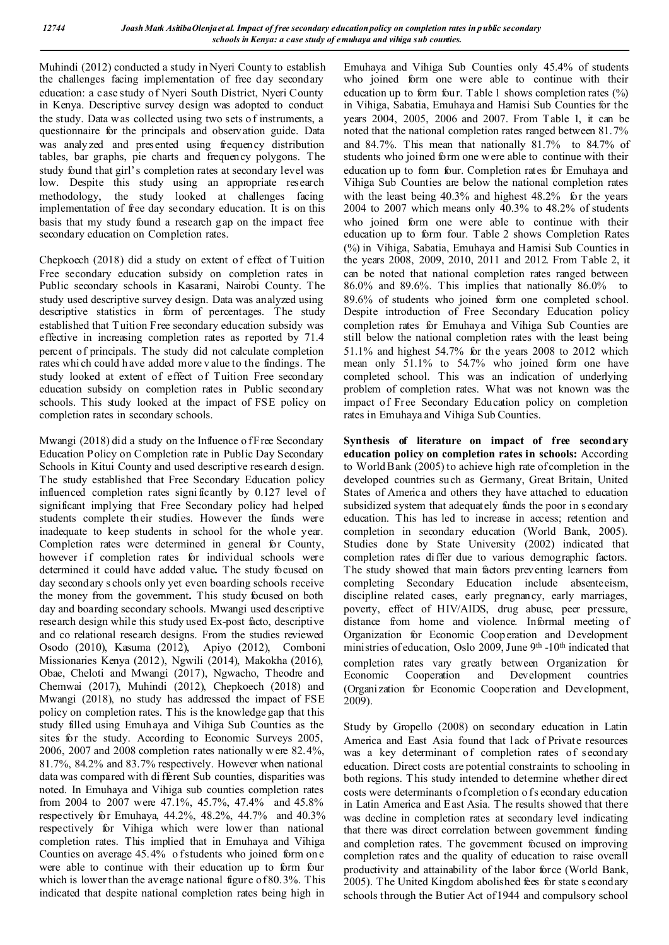Muhindi (2012) conducted a study in Nyeri County to establish the challenges facing implementation of free day secondary education: a case study of Nyeri South District, Nyeri County in Kenya. Descriptive survey design was adopted to conduct the study. Data was collected using two sets o f instruments, a questionnaire for the principals and observation guide. Data was analyzed and presented using frequency distribution tables, bar graphs, pie charts and frequency polygons. The study found that girl's completion rates at secondary level was low. Despite this study using an appropriate research methodology, the study looked at challenges facing implementation of free day secondary education. It is on this basis that my study found a research gap on the impact free secondary education on Completion rates.

Chepkoech (2018) did a study on extent of effect of Tuition Free secondary education subsidy on completion rates in Public secondary schools in Kasarani, Nairobi County. The study used descriptive survey design. Data was analyzed using descriptive statistics in form of percentages. The study established that Tuition Free secondary education subsidy was effective in increasing completion rates as reported by 71.4 percent of principals. The study did not calculate completion rates whi ch could h ave added more v alue to the findings. The study looked at extent of effect of Tuition Free secondary education subsidy on completion rates in Public secondary schools. This study looked at the impact of FSE policy on completion rates in secondary schools.

Mwangi (2018) did a study on the Influence of Free Secondary Education Policy on Completion rate in Public Day Secondary Schools in Kitui County and used descriptive research d esign. The study established that Free Secondary Education policy influenced completion rates signi ficantly by 0.127 level of significant implying that Free Secondary policy had helped students complete their studies. However the funds were inadequate to keep students in school for the whole year. Completion rates were determined in general for County, however if completion rates for individual schools were determined it could have added value**.** The study focused on day secondary s chools only yet even boarding schools receive the money from the government**.** This study focused on both day and boarding secondary schools. Mwangi used descriptive research design while this study used Ex-post facto, descriptive and co relational research designs. From the studies reviewed Osodo (2010), Kasuma (2012), Apiyo (2012), Comboni Missionaries Kenya (2012), Ngwili (2014), Makokha (2016), Obae, Cheloti and Mwangi (2017), Ngwacho, Theodre and Chemwai (2017), Muhindi (2012), Chepkoech (2018) and Mwangi (2018), no study has addressed the impact of FSE policy on completion rates. T his is the knowledge gap that this study filled using Emuhaya and Vihiga Sub Counties as the sites for the study. According to Economic Surveys 2005, 2006, 2007 and 2008 completion rates nationally were 82.4%, 81.7%, 84.2% and 83.7% respectively. However when national data was compared with di fferent Sub counties, disparities was noted. In Emuhaya and Vihiga sub counties completion rates from 2004 to 2007 were 47.1%, 45.7%, 47.4% and 45.8% respectively for Emuhaya, 44.2%, 48.2%, 44.7% and 40.3% respectively for Vihiga which were lower than national completion rates. This implied that in Emuhaya and Vihiga Counties on average  $45.4\%$  of students who joined form one were able to continue with their education up to form four which is lower than the average national figure of 80.3%. This indicated that despite national completion rates being high in

Emuhaya and Vihiga Sub Counties only 45.4% of students who joined form one were able to continue with their education up to form four. Table 1 shows completion rates  $(\%)$ in Vihiga, Sabatia, Emuhaya and Hamisi Sub Counties for the years 2004, 2005, 2006 and 2007. From Table 1, it can be noted that the national completion rates ranged between 81.7% and 84.7%. This mean that nationally 81.7% to 84.7% of students who joined form one were able to continue with their education up to form four. Completion rates for Emuhaya and Vihiga Sub Counties are below the national completion rates with the least being 40.3% and highest 48.2% for the years 2004 to 2007 which means only 40.3% to 48.2% of students who joined form one were able to continue with their education up to form four. Table 2 shows Completion Rates (%) in Vihiga, Sabatia, Emuhaya and Hamisi Sub Counties in the years 2008, 2009, 2010, 2011 and 2012. From Table 2, it can be noted that national completion rates ranged between 86.0% and 89.6%. This implies that nationally 86.0% to 89.6% of students who joined form one completed school. Despite introduction of Free Secondary Education policy completion rates for Emuhaya and Vihiga Sub Counties are still below the national completion rates with the least being 51.1% and highest 54.7% for the years 2008 to 2012 which mean only 51.1% to 54.7% who joined form one have completed school. This was an indication of underlying problem of completion rates. What was not known was the impact of Free Secondary Education policy on completion rates in Emuhaya and Vihiga Sub Counties.

**Synthesis of literature on impact of free secondary education policy on completion rates in schools:** According to World Bank (2005) to achieve high rate of completion in the developed countries such as Germany, Great Britain, United States of America and others they have attached to education subsidized system that adequately funds the poor in s econdary education. This has led to increase in access; retention and completion in secondary education (World Bank, 2005). Studies done by State University (2002) indicated that completion rates differ due to various demographic factors. The study showed that main factors preventing learners from completing Secondary Education include absenteeism, discipline related cases, early pregnancy, early marriages, poverty, effect of HIV/AIDS, drug abuse, peer pressure, distance from home and violence. Informal meeting of Organization for Economic Coop eration and Development ministries of education, Oslo 2009, June 9<sup>th</sup> -10<sup>th</sup> indicated that completion rates vary greatly between Organization for Economic Cooperation and Development countries (Organization for Economic Cooperation and Development, 2009).

Study by Gropello (2008) on secondary education in Latin America and East Asia found that lack of Private resources was a key determinant of completion rates of secondary education. Direct costs are potential constraints to schooling in both regions. T his study intended to determine whether direct costs were determinants of completion of s econdary education in Latin America and East Asia. T he results showed that there was decline in completion rates at secondary level indicating that there was direct correlation between government funding and completion rates. The government focused on improving completion rates and the quality of education to raise overall productivity and attainability of the labor force (World Bank, 2005). The United Kingdom abolished fees for state s econdary schools through the Butier Act of 1944 and compulsory school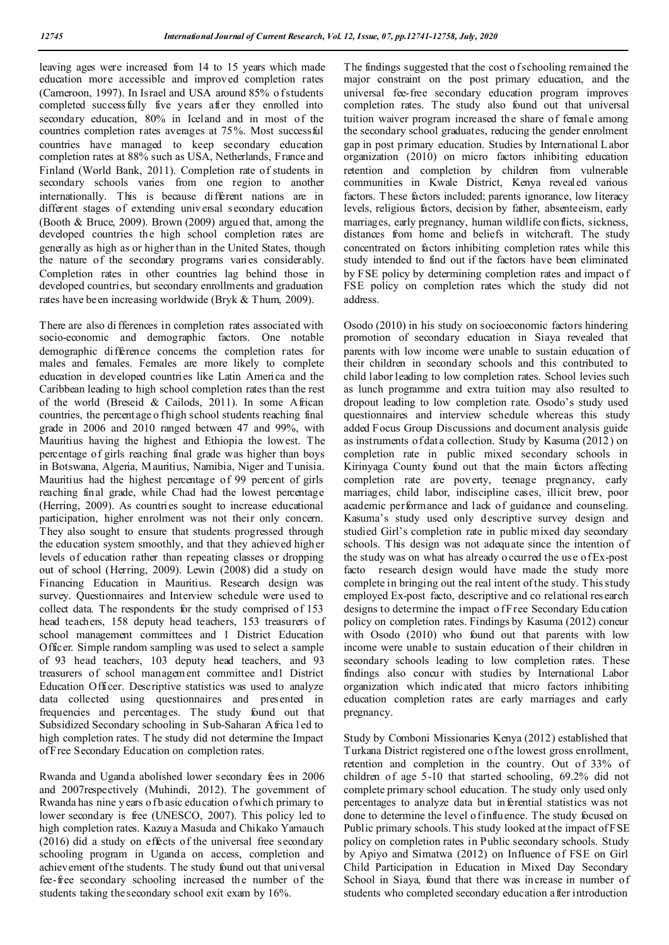leaving ages were increased from 14 to 15 years which made education more accessible and improved completion rates (Cameroon, 1997). In Israel and USA around 85% of students completed successfully five years after they enrolled into secondary education, 80% in Iceland and in most of the countries completion rates averages at 75%. Most successful countries have managed to keep secondary education completion rates at 88% such as USA, Netherlands, France and Finland (World Bank, 2011). Completion rate of students in secondary schools varies from one region to another internationally. This is because different nations are in different stages of extending universal secondary education (Booth & Bruce, 2009). Brown (2009) argued that, among the developed countries the high school completion rates are generally as high as or higher than in the United States, though the nature of the secondary programs varies considerably. Completion rates in other countries lag behind those in developed countries, but secondary enrollments and graduation rates have been increasing worldwide (Bryk & Thum, 2009).

There are also di fferences in completion rates associated with socio-economic and demographic factors. One notable demographic difference concerns the completion rates for males and females. Females are more likely to complete education in developed countries like Latin America and the Caribbean leading to high school completion rates than the rest of the world (Breseid & Cailods, 2011). In some African countries, the percentage o fhigh school students reaching final grade in 2006 and 2010 ranged between 47 and 99%, with Mauritius having the highest and Ethiopia the lowest. The percentage of girls reaching final grade was higher than boys in Botswana, Algeria, Mauritius, Namibia, Niger and Tunisia. Mauritius had the highest percentage of 99 percent of girls reaching final grade, while Chad had the lowest percentage (Herring, 2009). As countries sought to increase educational participation, higher enrolment was not their only concern. They also sought to ensure that students progressed through the education system smoothly, and that they achieved high er levels of education rather than repeating classes or dropping out of school (Herring, 2009). Lewin (2008) did a study on Financing Education in Mauritius. Research design was survey. Questionnaires and Interview schedule were used to collect data. The respondents for the study comprised of 153 head teachers, 158 deputy head teachers, 153 treasurers of school management committees and 1 District Education Officer. Simple random sampling was used to select a sample of 93 head teachers, 103 deputy head teachers, and 93 treasurers of school management committee and1 District Education Officer. Descriptive statistics was used to analyze data collected using questionnaires and presented in frequencies and percentages. The study found out that Subsidized Secondary schooling in Sub-Saharan Africa l ed to high completion rates. T he study did not determine the Impact of Free Secondary Education on completion rates.

Rwanda and Uganda abolished lower secondary fees in 2006 and 2007respectively (Muhindi, 2012). The government of Rwanda has nine y ears of b asic education of which primary to lower secondary is free (UNESCO, 2007). This policy led to high completion rates. Kazuya Masuda and Chikako Yamauch (2016) did a study on effects of the universal free secondary schooling program in Uganda on access, completion and achievement of the students. The study found out that universal fee-free secondary schooling increased the number of the students taking the secondary school exit exam by 16%.

The findings suggested that the cost of schooling remained the major constraint on the post primary education, and the universal fee-free secondary education program improves completion rates. The study also found out that universal tuition waiver program increased the share of female among the secondary school graduates, reducing the gender enrolment gap in post primary education. Studies by International Labor organization (2010) on micro factors inhibiting education retention and completion by children from vulnerable communities in Kwale District, Kenya revealed various factors. T hese factors included; parents ignorance, low literacy levels, religious factors, decision by father, absenteeism, early marriages, early pregnancy, human wildlife conflicts, sickness, distances from home and beliefs in witchcraft. The study concentrated on factors inhibiting completion rates while this study intended to find out if the factors have been eliminated by FSE policy by determining completion rates and impact o f FSE policy on completion rates which the study did not address.

Osodo (2010) in his study on socioeconomic factors hindering promotion of secondary education in Siaya revealed that parents with low income were unable to sustain education of their children in secondary schools and this contributed to child labor leading to low completion rates. School levies such as lunch programme and extra tuition may also resulted to dropout leading to low completion rate. Osodo's study used questionnaires and interview schedule whereas this study added Focus Group Discussions and document analysis guide as instruments of dat a collection. Study by Kasuma (2012) on completion rate in public mixed secondary schools in Kirinyaga County found out that the main factors affecting completion rate are poverty, teenage pregnancy, early marriages, child labor, indiscipline cases, illicit brew, poor academic performance and lack of guidance and counseling. Kasuma's study used only descriptive survey design and studied Girl's completion rate in public mixed day secondary schools. This design was not adequate since the intention of the study was on what has already o ccurred the use of Ex-post facto research design would have made the study more complete in bringing out the real intent of the study. This study employed Ex-post facto, descriptive and co relational research designs to determine the impact of Free Secondary Education policy on completion rates. Findings by Kasuma (2012) concur with Osodo (2010) who found out that parents with low income were unable to sustain education of their children in secondary schools leading to low completion rates. These findings also concur with studies by International Labor organization which indicated that micro factors inhibiting education completion rates are early marriages and early pregnancy.

Study by Comboni Missionaries Kenya (2012) established that Turkana District registered one of the lowest gross enrollment, retention and completion in the country. Out of 33% of children of age 5-10 that started schooling, 69.2% did not complete primary school education. The study only used only percentages to analyze data but inferential statistics was not done to determine the level o finfluence. The study focused on Public primary schools. This study looked at the impact of FSE policy on completion rates in Public secondary schools. Study by Apiyo and Simatwa (2012) on Influence of FSE on Girl Child Participation in Education in Mixed Day Secondary School in Siaya, found that there was increase in number of students who completed secondary education after introduction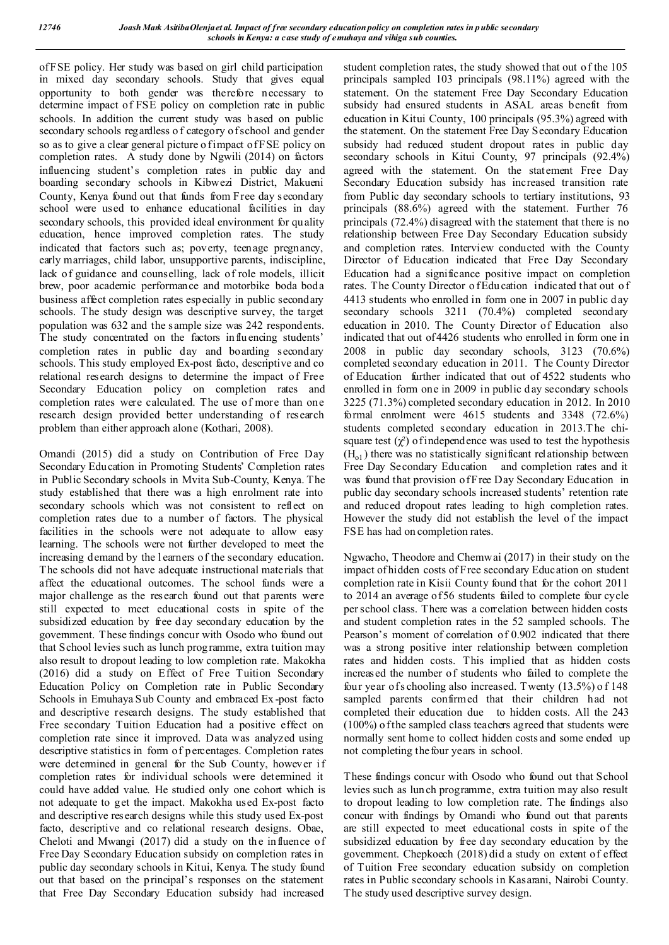of FSE policy. Her study was based on girl child participation in mixed day secondary schools. Study that gives equal opportunity to both gender was therefore necessary to determine impact of FSE policy on completion rate in public schools. In addition the current study was based on public secondary schools regardless o f category of school and gender so as to give a clear general picture o fimpact of FSE policy on completion rates. A study done by Ngwili (2014) on factors influencing student's completion rates in public day and boarding secondary schools in Kibwezi District, Makueni County, Kenya found out that funds from Free day secondary school were used to enhance educational facilities in day secondary schools, this provided ideal environment for quality education, hence improved completion rates. The study indicated that factors such as; poverty, teenage pregnancy, early marriages, child labor, unsupportive parents, indiscipline, lack of guidance and counselling, lack of role models, illicit brew, poor academic performance and motorbike boda boda business affect completion rates especially in public secondary schools. The study design was descriptive survey, the target population was 632 and the sample size was 242 respondents. The study concentrated on the factors influencing students' completion rates in public day and boarding secondary schools. This study employed Ex-post facto, descriptive and co relational research designs to determine the impact of Free Secondary Education policy on completion rates and completion rates were calculated. The use of more than one research design provided better understanding of research problem than either approach alone (Kothari, 2008).

Omandi (2015) did a study on Contribution of Free Day Secondary Education in Promoting Students' Completion rates in Public Secondary schools in Mvita Sub-County, Kenya. The study established that there was a high enrolment rate into secondary schools which was not consistent to reflect on completion rates due to a number of factors. The physical facilities in the schools were not adequate to allow easy learning. The schools were not further developed to meet the increasing demand by the l earners of the secondary education. The schools did not have adequate instructional materials that affect the educational outcomes. The school funds were a major challenge as the research found out that parents were still expected to meet educational costs in spite of the subsidized education by free day secondary education by the government. These findings concur with Osodo who found out that School levies such as lunch programme, extra tuition may also result to dropout leading to low completion rate. Makokha (2016) did a study on Effect of Free Tuition Secondary Education Policy on Completion rate in Public Secondary Schools in Emuhaya Sub County and embraced Ex -post facto and descriptive research designs. The study established that Free secondary Tuition Education had a positive effect on completion rate since it improved. Data was analyzed using descriptive statistics in form of percentages. Completion rates were determined in general for the Sub County, however if completion rates for individual schools were determined it could have added value. He studied only one cohort which is not adequate to get the impact. Makokha used Ex-post facto and descriptive research designs while this study used Ex-post facto, descriptive and co relational research designs. Obae, Cheloti and Mwangi (2017) did a study on the influence of Free Day Secondary Education subsidy on completion rates in public day secondary schools in Kitui, Kenya. The study found out that based on the principal's responses on the statement that Free Day Secondary Education subsidy had increased

student completion rates, the study showed that out of the 105 principals sampled 103 principals (98.11%) agreed with the statement. On the statement Free Day Secondary Education subsidy had ensured students in ASAL areas benefit from education in Kitui County, 100 principals (95.3%) agreed with the statement. On the statement Free Day Secondary Education subsidy had reduced student dropout rates in public day secondary schools in Kitui County, 97 principals (92.4%) agreed with the statement. On the statement Free Day Secondary Education subsidy has increased transition rate from Public day secondary schools to tertiary institutions, 93 principals (88.6%) agreed with the statement. Further 76 principals (72.4%) disagreed with the statement that there is no relationship between Free Day Secondary Education subsidy and completion rates. Interview conducted with the County Director of Education indicated that Free Day Secondary Education had a significance positive impact on completion rates. The County Director of Education indicated that out of 4413 students who enrolled in form one in 2007 in public day secondary schools 3211 (70.4%) completed secondary education in 2010. The County Director of Education also indicated that out of 4426 students who enrolled in form one in 2008 in public day secondary schools, 3123 (70.6%) completed secondary education in 2011. T he County Director of Education further indicated that out of 4522 students who enrolled in form one in 2009 in public day secondary schools 3225 (71.3%) completed secondary education in 2012. In 2010 formal enrolment were 4615 students and 3348 (72.6%) students completed secondary education in 2013.T he chisquare test  $(\chi^2)$  of independence was used to test the hypothesis  $(H<sub>o1</sub>)$  there was no statistically significant relationship between Free Day Secondary Education and completion rates and it was found that provision of Free Day Secondary Education in public day secondary schools increased students' retention rate and reduced dropout rates leading to high completion rates. However the study did not establish the level of the impact FSE has had on completion rates.

Ngwacho, Theodore and Chemwai (2017) in their study on the impact of hidden costs of Free secondary Education on student completion rate in Kisii County found that for the cohort 2011 to 2014 an average of 56 students failed to complete four cycle per school class. There was a correlation between hidden costs and student completion rates in the 52 sampled schools. The Pearson's moment of correlation of 0.902 indicated that there was a strong positive inter relationship between completion rates and hidden costs. This implied that as hidden costs increased the number of students who failed to complete the four year of s chooling also increased. Twenty (13.5%) o f 148 sampled parents confirmed that their children had not completed their education due to hidden costs. All the 243 (100%) of the sampled class teachers agreed that students were normally sent home to collect hidden costs and some ended up not completing the four years in school.

These findings concur with Osodo who found out that School levies such as lunch programme, extra tuition may also result to dropout leading to low completion rate. The findings also concur with findings by Omandi who found out that parents are still expected to meet educational costs in spite of the subsidized education by free day secondary education by the government. Chepkoech (2018) did a study on extent of effect of Tuition Free secondary education subsidy on completion rates in Public secondary schools in Kasarani, Nairobi County. The study used descriptive survey design.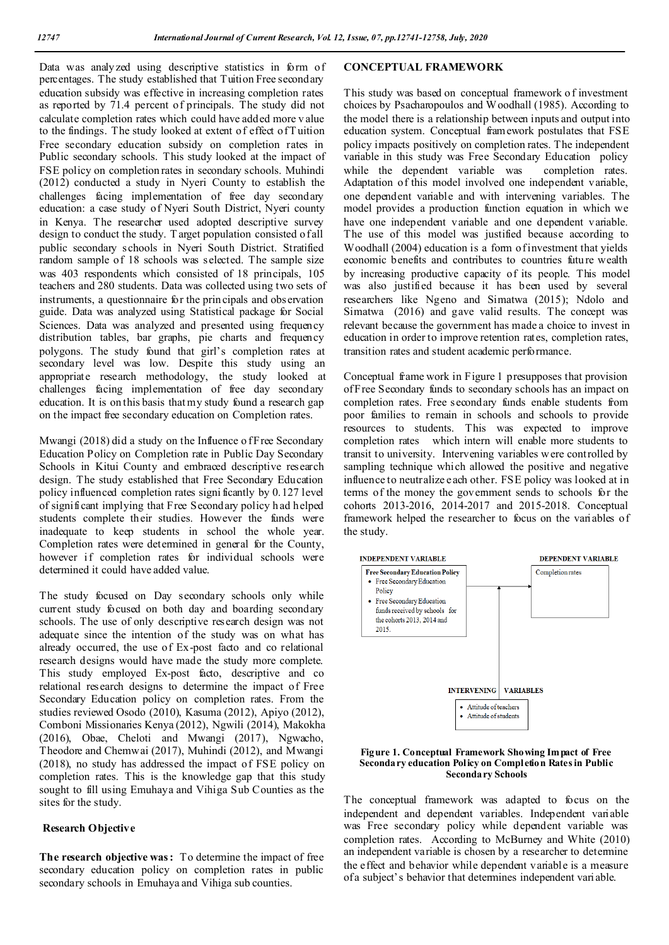Data was analyzed using descriptive statistics in form of percentages. The study established that Tuition Free secondary education subsidy was effective in increasing completion rates as reported by 71.4 percent of principals. The study did not calculate completion rates which could have added more v alue to the findings. The study looked at extent of effect of T uition Free secondary education subsidy on completion rates in Public secondary schools. This study looked at the impact of FSE policy on completion rates in secondary schools. Muhindi (2012) conducted a study in Nyeri County to establish the challenges facing implementation of free day secondary education: a case study of Nyeri South District, Nyeri county in Kenya. The researcher used adopted descriptive survey design to conduct the study. T arget population consisted o fall public secondary schools in Nyeri South District. Stratified random sample of 18 schools was selected. The sample size was 403 respondents which consisted of 18 principals, 105 teachers and 280 students. Data was collected using two sets of instruments, a questionnaire for the prin cipals and observation guide. Data was analyzed using Statistical package for Social Sciences. Data was analyzed and presented using frequency distribution tables, bar graphs, pie charts and frequency polygons. The study found that girl's completion rates at secondary level was low. Despite this study using an appropriate research methodology, the study looked at challenges facing implementation of free day secondary education. It is on this basis that my study found a research gap on the impact free secondary education on Completion rates.

Mwangi (2018) did a study on the Influence of Free Secondary Education Policy on Completion rate in Public Day Secondary Schools in Kitui County and embraced descriptive research design. The study established that Free Secondary Education policy influenced completion rates signi ficantly by 0.127 level of significant implying that Free Secondary policy h ad helped students complete their studies. However the funds were inadequate to keep students in school the whole year. Completion rates were determined in general for the County, however if completion rates for individual schools were determined it could have added value.

The study focused on Day secondary schools only while current study focused on both day and boarding secondary schools. The use of only descriptive research design was not adequate since the intention of the study was on what has already occurred, the use of Ex-post facto and co relational research designs would have made the study more complete. This study employed Ex-post facto, descriptive and co relational research designs to determine the impact of Free Secondary Education policy on completion rates. From the studies reviewed Osodo (2010), Kasuma (2012), Apiyo (2012), Comboni Missionaries Kenya (2012), Ngwili (2014), Makokha (2016), Obae, Cheloti and Mwangi (2017), Ngwacho, Theodore and Chemwai (2017), Muhindi (2012), and Mwangi (2018), no study has addressed the impact of FSE policy on completion rates. This is the knowledge gap that this study sought to fill using Emuhaya and Vihiga Sub Counties as the sites for the study.

## **Research Objective**

**The research objective was :** To determine the impact of free secondary education policy on completion rates in public secondary schools in Emuhaya and Vihiga sub counties.

### **CONCEPTUAL FRAMEWORK**

This study was based on conceptual framework o f investment choices by Psacharopoulos and Woodhall (1985). According to the model there is a relationship between inputs and output into education system. Conceptual framework postulates that FSE policy impacts positively on completion rates. The independent variable in this study was Free Secondary Education policy while the dependent variable was completion rates. Adaptation of this model involved one independent variable, one dependent variable and with intervening variables. The model provides a production function equation in which we have one independent variable and one dependent variable. The use of this model was justified because according to Woodhall (2004) education is a form of investment that yields economic benefits and contributes to countries future wealth by increasing productive capacity of its people. This model was also justified because it has been used by several researchers like Ngeno and Simatwa (2015); Ndolo and Simatwa (2016) and gave valid results. The concept was relevant because the government has made a choice to invest in education in order to improve retention rates, completion rates, transition rates and student academic performance.

Conceptual frame work in Figure 1 presupposes that provision of Free Secondary funds to secondary schools has an impact on completion rates. Free secondary funds enable students from poor families to remain in schools and schools to provide resources to students. This was expected to improve completion rates which intern will enable more students to transit to university. Intervening variables were controlled by sampling technique which allowed the positive and negative influence to neutralize each other. FSE policy was looked at in terms of the money the government sends to schools for the cohorts 2013-2016, 2014-2017 and 2015-2018. Conceptual framework helped the researcher to focus on the variables of the study.





The conceptual framework was adapted to focus on the independent and dependent variables. Independent variable was Free secondary policy while dependent variable was completion rates. According to McBurney and White (2010) an independent variable is chosen by a researcher to determine the effect and behavior while dependent variable is a measure of a subject's behavior that determines independent variable.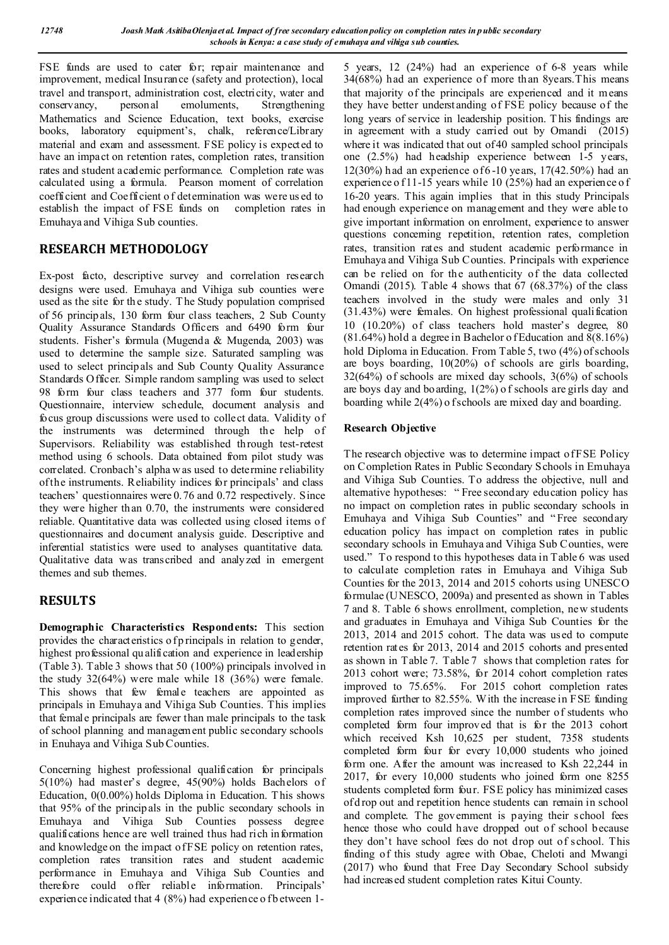FSE funds are used to cater for; repair maintenance and improvement, medical Insurance (safety and protection), local travel and transport, administration cost, electricity, water and conservancy, personal emoluments, Strengthening conservancy, personal emoluments, Strengthening Mathematics and Science Education, text books, exercise books, laboratory equipment's, chalk, reference/Library material and exam and assessment. FSE policy is expected to have an impact on retention rates, completion rates, transition rates and student academic performance. Completion rate was calculated using a formula. Pearson moment of correlation coefficient and Coefficient o f determination was were us ed to establish the impact of FSE funds on completion rates in Emuhaya and Vihiga Sub counties.

# **RESEARCH METHODOLOGY**

Ex-post facto, descriptive survey and correlation research designs were used. Emuhaya and Vihiga sub counties were used as the site for th e study. T he Study population comprised of 56 principals, 130 form four class teachers, 2 Sub County Quality Assurance Standards Officers and 6490 form four students. Fisher's formula (Mugenda & Mugenda, 2003) was used to determine the sample size. Saturated sampling was used to select principals and Sub County Quality Assurance Standards Officer. Simple random sampling was used to select 98 form four class teachers and 377 form four students. Questionnaire, interview schedule, document analysis and focus group discussions were used to collect data. Validity of the instruments was determined through the help of Supervisors. Reliability was established through test-retest method using 6 schools. Data obtained from pilot study was correlated. Cronbach's alpha w as used to determine reliability of the instruments. Reliability indices for principals' and class teachers' questionnaires were 0.76 and 0.72 respectively. Since they were higher than 0.70, the instruments were considered reliable. Quantitative data was collected using closed items of questionnaires and document analysis guide. Descriptive and inferential statistics were used to analyses quantitative data. Qualitative data was transcribed and analyzed in emergent themes and sub themes.

# **RESULTS**

**Demographic Characteristics Respondents:** This section provides the characteristics of p rincipals in relation to gender, highest professional qualification and experience in leadership (Table 3). Table 3 shows that 50 (100%) principals involved in the study 32(64%) were male while 18 (36%) were female. This shows that few female teachers are appointed as principals in Emuhaya and Vihiga Sub Counties. This implies that female principals are fewer than male principals to the task of school planning and management public secondary schools in Enuhaya and Vihiga Sub Counties.

Concerning highest professional qualification for principals 5(10%) had master's degree, 45(90%) holds Bachelors of Education, 0(0.00%) holds Diploma in Education. T his shows that 95% of the principals in the public secondary schools in Emuhaya and Vihiga Sub Counties possess degree qualifications hence are well trained thus had rich in formation and knowledge on the impact of FSE policy on retention rates, completion rates transition rates and student academic performance in Emuhaya and Vihiga Sub Counties and therefore could offer reliable information. Principals' experience indicated that  $4 \frac{8\%}{9}$  had experience of b etween 15 years, 12 (24%) had an experience of 6-8 years while 34(68%) had an experience of more than 8years.This means that majority of the principals are experienced and it means they have better underst anding of FSE policy because of the long years of service in leadership position. T his findings are in agreement with a study carried out by Omandi (2015) where it was indicated that out of 40 sampled school principals one (2.5%) had headship experience between 1-5 years, 12(30%) had an experience of 6 -10 years, 17(42.50%) had an experience o f 11-15 years while 10 (25%) had an experience o f 16-20 years. This again implies that in this study Principals had enough experience on management and they were able to give important information on enrolment, experience to answer questions concerning repetition, retention rates, completion rates, transition rates and student academic performance in Emuhaya and Vihiga Sub Counties. Principals with experience can be relied on for the authenticity of the data collected Omandi (2015). Table 4 shows that 67 (68.37%) of the class teachers involved in the study were males and only 31 (31.43%) were females. On highest professional qualification 10 (10.20%) of class teachers hold master's degree, 80  $(81.64%)$  hold a degree in Bachelor of Education and  $8(8.16%)$ hold Diploma in Education. From Table 5, two (4%) of schools are boys boarding, 10(20%) of schools are girls boarding, 32(64%) of schools are mixed day schools, 3(6%) of schools are boys day and boarding, 1(2%) o f schools are girls day and boarding while 2(4%) of schools are mixed day and boarding.

## **Research Objective**

The research objective was to determine impact of FSE Policy on Completion Rates in Public Secondary Schools in Emuhaya and Vihiga Sub Counties. To address the objective, null and alternative hypotheses: " Free secondary education policy has no impact on completion rates in public secondary schools in Emuhaya and Vihiga Sub Counties" and " Free secondary education policy has impact on completion rates in public secondary schools in Emuhaya and Vihiga Sub Counties, were used." To respond to this hypotheses data in Table 6 was used to calculate completion rates in Emuhaya and Vihiga Sub Counties for the 2013, 2014 and 2015 cohorts using UNESCO formulae (UNESCO, 2009a) and presented as shown in Tables 7 and 8. Table 6 shows enrollment, completion, new students and graduates in Emuhaya and Vihiga Sub Counties for the 2013, 2014 and 2015 cohort. The data was used to compute retention rates for 2013, 2014 and 2015 cohorts and presented as shown in Table 7. Table 7 shows that completion rates for 2013 cohort were; 73.58%, for 2014 cohort completion rates improved to 75.65%. For 2015 cohort completion rates improved further to 82.55%. With the increase in FSE funding completion rates improved since the number of students who completed form four improved that is for the 2013 cohort which received Ksh 10,625 per student, 7358 students completed form four for every 10,000 students who joined form one. After the amount was increased to Ksh 22,244 in 2017, for every 10,000 students who joined form one 8255 students completed form four. FSE policy has minimized cases of d rop out and repetition hence students can remain in school and complete. The government is paying their school fees hence those who could have dropped out of school because they don't have school fees do not drop out of school. This finding of this study agree with Obae, Cheloti and Mwangi (2017) who found that Free Day Secondary School subsidy had increased student completion rates Kitui County.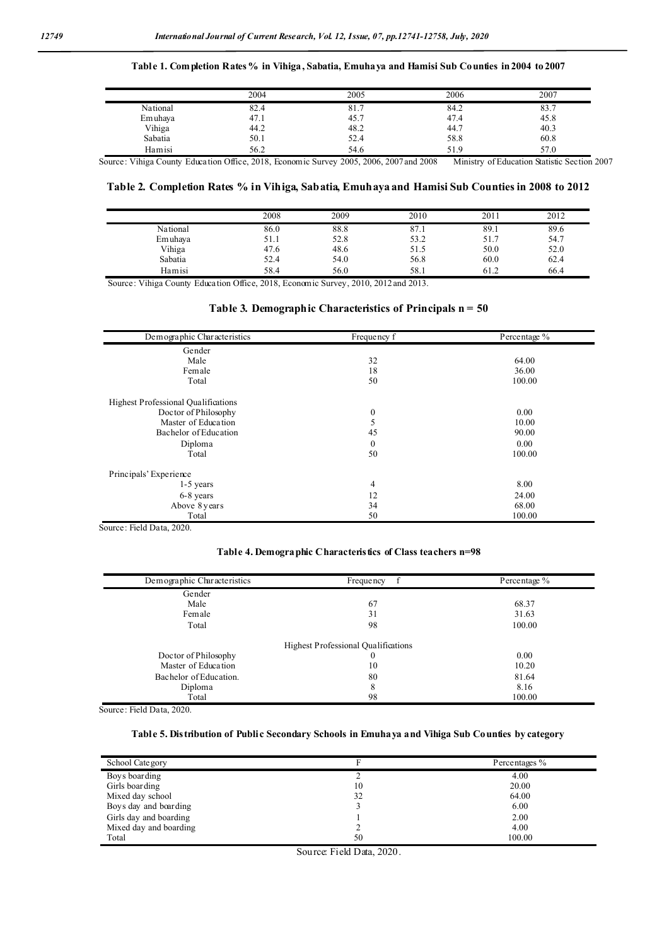## **Table 1. Completion Rates % in Vihiga, Sabatia, Emuhaya and Hamisi Sub Counties in 2004 to 2007**

|          | 2004 | 2005 | 2006 | 2007 |
|----------|------|------|------|------|
| National | 82.4 | 81.7 | 84.2 | 83.7 |
| Emuhaya  | 47.1 | 45.7 | 47.4 | 45.8 |
| Vihiga   | 44.2 | 48.2 | 44.7 | 40.3 |
| Sabatia  | 50.1 | 52.4 | 58.8 | 60.8 |
| Hamisi   | 56.2 | 54.6 | 51.9 | 57.0 |

Source: Vihiga County Education Office, 2018, Economic Survey 2005, 2006, 2007 and 2008 Ministry of Education Statistic Section 2007

### **Table 2. Completion Rates % in Vihiga, Sabatia, Emuhaya and Hamisi Sub Counties in 2008 to 2012**

|          | 2008 | 2009 | 2010 | 201  | 2012 |
|----------|------|------|------|------|------|
| National | 86.0 | 88.8 | 87.1 | 89.1 | 89.6 |
| Emuhaya  | 51.1 | 52.8 | 53.2 | 51.7 | 54.7 |
| Vihiga   | 47.6 | 48.6 | 51.5 | 50.0 | 52.0 |
| Sabatia  | 52.4 | 54.0 | 56.8 | 60.0 | 62.4 |
| Hamisi   | 58.4 | 56.0 | 58.1 | 61.2 | 66.4 |

Source: Vihiga County Education Office, 2018, Economic Survey, 2010, 2012 and 2013.

### **Table 3. Demographic Characteristics of Principals n = 50**

| Demographic Characteristics                | Frequency f      | Percentage % |
|--------------------------------------------|------------------|--------------|
| Gender                                     |                  |              |
| Male                                       | 32               | 64.00        |
| Female                                     | 18               | 36.00        |
| Total                                      | 50               | 100.00       |
| <b>Highest Professional Qualifications</b> |                  |              |
| Doctor of Philosophy                       | $\boldsymbol{0}$ | 0.00         |
| Master of Education                        | 5                | 10.00        |
| Bachelor of Education                      | 45               | 90.00        |
| Diploma                                    | $\boldsymbol{0}$ | 0.00         |
| Total                                      | 50               | 100.00       |
| Principals' Experience                     |                  |              |
| $1-5$ years                                | 4                | 8.00         |
| 6-8 years                                  | 12               | 24.00        |
| Above 8 years                              | 34               | 68.00        |
| Total                                      | 50               | 100.00       |

Source: Field Data, 2020.

### **Table 4. Demographic Characteristics of Class teachers n=98**

| Demographic Characteristics | f<br><b>Frequency</b>                      | Percentage % |
|-----------------------------|--------------------------------------------|--------------|
| Gender                      |                                            |              |
| Male                        | 67                                         | 68.37        |
| Female                      | 31                                         | 31.63        |
| Total                       | 98                                         | 100.00       |
|                             | <b>Highest Professional Qualifications</b> |              |
| Doctor of Philosophy        | 0                                          | 0.00         |
| Master of Education         | 10                                         | 10.20        |
| Bachelor of Education.      | 80                                         | 81.64        |
| Diploma                     | 8                                          | 8.16         |
| Total                       | 98                                         | 100.00       |

Source: Field Data, 2020.

#### **Table 5. Distribution of Public Secondary Schools in Emuhaya and Vihiga Sub Counties by category**

| School Category        |    | Percentages % |
|------------------------|----|---------------|
| Boys boarding          |    | 4.00          |
| Girls boarding         | 10 | 20.00         |
| Mixed day school       | 32 | 64.00         |
| Boys day and boarding  |    | 6.00          |
| Girls day and boarding |    | 2.00          |
| Mixed day and boarding |    | 4.00          |
| Total                  | 50 | 100.00        |

Source: Field Data, 2020.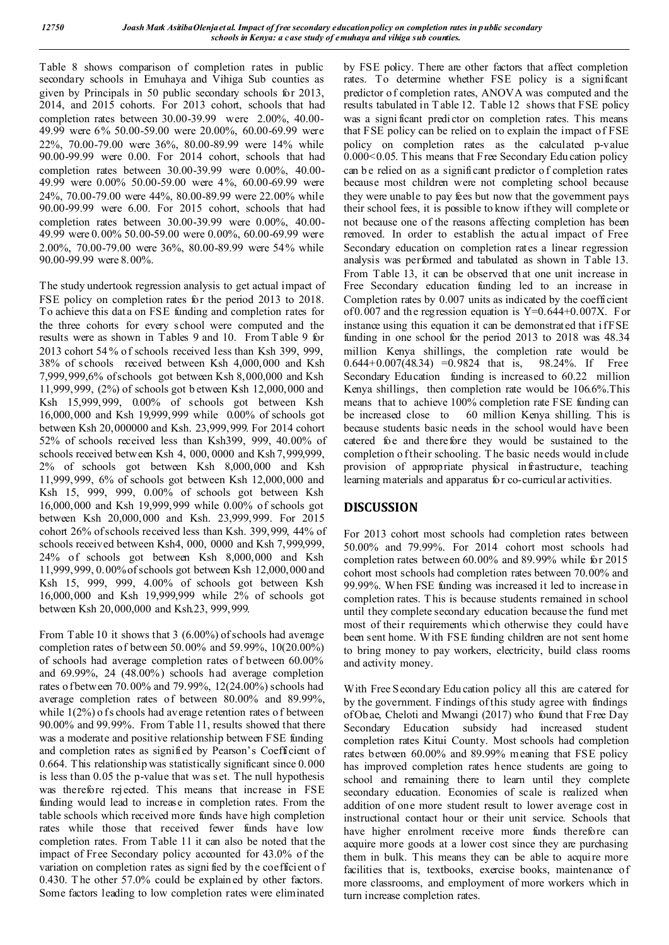Table 8 shows comparison of completion rates in public secondary schools in Emuhaya and Vihiga Sub counties as given by Principals in 50 public secondary schools for 2013, 2014, and 2015 cohorts. For 2013 cohort, schools that had completion rates between 30.00-39.99 were 2.00%, 40.00- 49.99 were 6% 50.00-59.00 were 20.00%, 60.00-69.99 were 22%, 70.00-79.00 were 36%, 80.00-89.99 were 14% while 90.00-99.99 were 0.00. For 2014 cohort, schools that had completion rates between 30.00-39.99 were 0.00%, 40.00- 49.99 were 0.00% 50.00-59.00 were 4%, 60.00-69.99 were 24%, 70.00-79.00 were 44%, 80.00-89.99 were 22.00% while 90.00-99.99 were 6.00. For 2015 cohort, schools that had completion rates between 30.00-39.99 were 0.00%, 40.00- 49.99 were 0.00% 50.00-59.00 were 0.00%, 60.00-69.99 were 2.00%, 70.00-79.00 were 36%, 80.00-89.99 were 54% while 90.00-99.99 were 8.00%.

The study undertook regression analysis to get actual impact of FSE policy on completion rates for the period 2013 to 2018. To achieve this dat a on FSE funding and completion rates for the three cohorts for every school were computed and the results were as shown in Tables 9 and 10. From T able 9 for 2013 cohort 54 % of schools received less than Ksh 399, 999, 38% of schools received between Ksh 4,000,000 and Ksh 7,999,999,6% of schools got between Ksh 8,000,000 and Ksh 11,999,999, (2%) of schools got b etween Ksh 12,000,000 and Ksh 15,999,999, 0.00% of schools got between Ksh 16,000,000 and Ksh 19,999,999 while 0.00% of schools got between Ksh 20,000000 and Ksh. 23,999,999. For 2014 cohort 52% of schools received less than Ksh399, 999, 40.00% of schools received between Ksh 4, 000, 0000 and Ksh 7,999,999, 2% of schools got between Ksh 8,000,000 and Ksh 11,999,999, 6% of schools got between Ksh 12,000,000 and Ksh 15, 999, 999, 0.00% of schools got between Ksh 16,000,000 and Ksh 19,999,999 while 0.00% of schools got between Ksh 20,000,000 and Ksh. 23,999,999. For 2015 cohort 26% of schools received less than Ksh. 399,999, 44% of schools received between Ksh4, 000, 0000 and Ksh 7,999,999, 24% of schools got between Ksh 8,000,000 and Ksh 11,999,999, 0.00% of schools got between Ksh 12,000,000 and Ksh 15, 999, 999, 4.00% of schools got between Ksh 16,000,000 and Ksh 19,999,999 while 2% of schools got between Ksh 20,000,000 and Ksh.23, 999,999.

From Table 10 it shows that 3 (6.00%) of schools had average completion rates of between 50.00% and 59.99%, 10(20.00%) of schools had average completion rates of between 60.00% and 69.99%, 24 (48.00%) schools had average completion rates o f between 70.00% and 79.99%, 12(24.00%) schools had average completion rates of between 80.00% and 89.99%, while  $1(2\%)$  of s chools had average retention rates of between 90.00% and 99.99%. From Table 11, results showed that there was a moderate and positive relationship between FSE funding and completion rates as signified by Pearson's Coefficient of 0.664. This relationship was statistically significant since 0.000 is less than 0.05 the p-value that was s et. The null hypothesis was therefore rejected. This means that increase in FSE funding would lead to increase in completion rates. From the table schools which received more funds have high completion rates while those that received fewer funds have low completion rates. From Table 11 it can also be noted that the impact of Free Secondary policy accounted for 43.0% of the variation on completion rates as signi fied by the coefficient o f 0.430. T he other 57.0% could be explained by other factors. Some factors leading to low completion rates were eliminated

by FSE policy. There are other factors that affect completion rates. To determine whether FSE policy is a significant predictor of completion rates, ANOVA was computed and the results tabulated in T able 12. Table 12 shows that FSE policy was a significant predictor on completion rates. This means that FSE policy can be relied on to explain the impact of FSE policy on completion rates as the calculated p-value 0.000<0.05. This means that Free Secondary Education policy can be relied on as a significant predictor of completion rates because most children were not completing school because they were unable to pay fees but now that the government pays their school fees, it is possible to know if they will complete or not because one of the reasons affecting completion has been removed. In order to establish the actual impact of Free Secondary education on completion rates a linear regression analysis was performed and tabulated as shown in Table 13. From Table 13, it can be observed that one unit increase in Free Secondary education funding led to an increase in Completion rates by 0.007 units as indicated by the coefficient of  $0.007$  and the regression equation is Y= $0.644+0.007X$ . For instance using this equation it can be demonstrated that if FSE funding in one school for the period 2013 to 2018 was 48.34 million Kenya shillings, the completion rate would be  $0.644+0.007(48.34) = 0.9824$  that is, 98.24%. If Free Secondary Education funding is increased to 60.22 million Kenya shillings, then completion rate would be 106.6%.This means that to achieve 100% completion rate FSE funding can be increased close to 60 million Kenya shilling. This is because students basic needs in the school would have been catered foe and therefore they would be sustained to the completion o f their schooling. The basic needs would include provision of appropriate physical infrastructure, teaching learning materials and apparatus for co-curricular activities.

# **DISCUSSION**

For 2013 cohort most schools had completion rates between 50.00% and 79.99%. For 2014 cohort most schools had completion rates between 60.00% and 89.99% while for 2015 cohort most schools had completion rates between 70.00% and 99.99%. When FSE funding was increased it led to increase in completion rates. T his is because students remained in school until they complete secondary education because the fund met most of their requirements which otherwise they could have been sent home. With FSE funding children are not sent home to bring money to pay workers, electricity, build class rooms and activity money.

With Free Secondary Edu cation policy all this are catered for by the government. Findings of this study agree with findings of Ob ae, Cheloti and Mwangi (2017) who found that Free Day Secondary Education subsidy had increased student completion rates Kitui County. Most schools had completion rates between 60.00% and 89.99% meaning that FSE policy has improved completion rates hence students are going to school and remaining there to learn until they complete secondary education. Economies of scale is realized when addition of one more student result to lower average cost in instructional contact hour or their unit service. Schools that have higher enrolment receive more funds therefore can acquire more goods at a lower cost since they are purchasing them in bulk. This means they can be able to acquire more facilities that is, textbooks, exercise books, maintenance of more classrooms, and employment of more workers which in turn increase completion rates.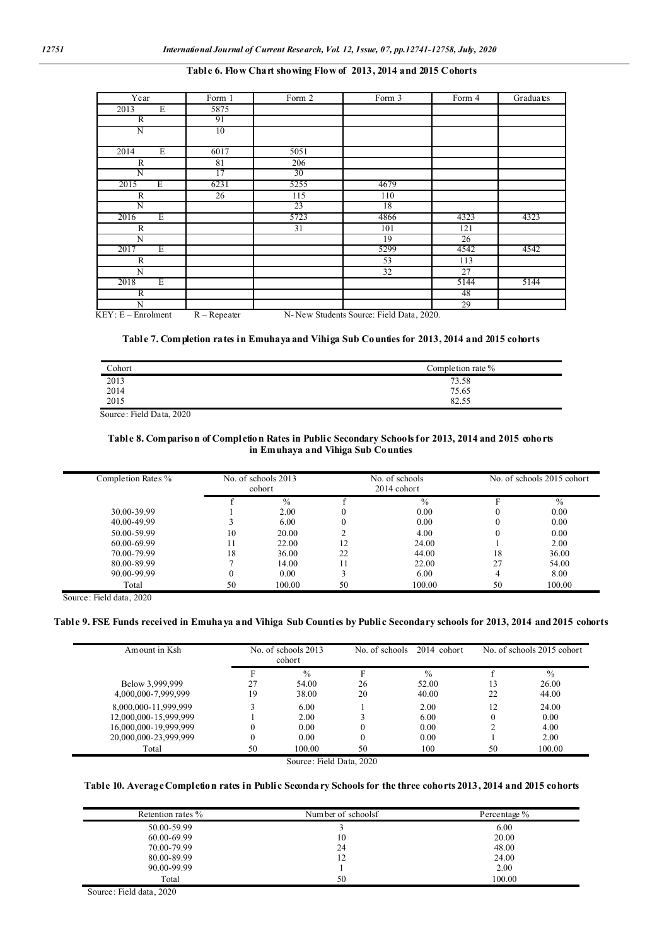### **Table 6. Flow Chart showing Flow of 2013, 2014 and 2015 Cohorts**

| Year                 | Form 1         | Form 2          | Form 3                                   | Form 4 | Graduates |
|----------------------|----------------|-----------------|------------------------------------------|--------|-----------|
| E<br>2013            | 5875           |                 |                                          |        |           |
| $\overline{R}$       | 91             |                 |                                          |        |           |
| N                    | 10             |                 |                                          |        |           |
|                      |                |                 |                                          |        |           |
| E<br>2014            | 6017           | 5051            |                                          |        |           |
| $\mathbb{R}$         | 81             | 206             |                                          |        |           |
| N                    | 17             | 30 <sup>2</sup> |                                          |        |           |
| Ε<br>2015            | 6231           | 5255            | 4679                                     |        |           |
| $\mathbb{R}$         | 26             | 115             | 110                                      |        |           |
| N                    |                | 23              | 18                                       |        |           |
| 2016<br>Ε            |                | 5723            | 4866                                     | 4323   | 4323      |
| R                    |                | 31              | 101                                      | 121    |           |
| N                    |                |                 | 19                                       | 26     |           |
| Ε<br>2017            |                |                 | 5299                                     | 4542   | 4542      |
| R                    |                |                 | 53                                       | 113    |           |
| N                    |                |                 | 32                                       | 27     |           |
| Ε<br>2018            |                |                 |                                          | 5144   | 5144      |
| R                    |                |                 |                                          | 48     |           |
| N                    |                |                 |                                          | 29     |           |
| $KEY: E - Enrolment$ | $R - Repeated$ |                 | N-New Students Source: Field Data, 2020. |        |           |

### **Table 7. Completion rates in Emuhaya and Vihiga Sub Counties for 2013, 2014 and 2015 cohorts**

| Cohort               | Completion rate % |
|----------------------|-------------------|
|                      | 73.58             |
| 2013<br>2014<br>2015 | 75.65             |
|                      | 82.55             |

Source: Field Data, 2020

### **Table 8. Comparison of Completion Rates in Public Secondary Schools for 2013, 2014 and 2015 cohorts in Emuhaya and Vihiga Sub Counties**

| Completion Rates % | No. of schools 2013<br>cohort |               | No. of schools<br>2014 cohort |               |    | No. of schools 2015 cohort |
|--------------------|-------------------------------|---------------|-------------------------------|---------------|----|----------------------------|
|                    |                               | $\frac{0}{0}$ |                               | $\frac{0}{0}$ |    | $\frac{0}{0}$              |
| 30.00-39.99        |                               | 2.00          |                               | 0.00          |    | 0.00                       |
| 40.00-49.99        |                               | 6.00          |                               | 0.00          | 0  | 0.00                       |
| 50.00-59.99        | 10                            | 20.00         |                               | 4.00          |    | 0.00                       |
| 60.00-69.99        |                               | 22.00         | 12                            | 24.00         |    | 2.00                       |
| 70.00-79.99        | 18                            | 36.00         | 22                            | 44.00         | 18 | 36.00                      |
| 80.00-89.99        |                               | 14.00         | 11                            | 22.00         | 27 | 54.00                      |
| 90.00-99.99        | 0                             | 0.00          |                               | 6.00          | 4  | 8.00                       |
| Total              | 50                            | 100.00        | 50                            | 100.00        | 50 | 100.00                     |

Source: Field data, 2020

## **Table 9. FSE Funds received in Emuhaya and Vihiga Sub Counties by Public Secondary schools for 2013, 2014 and 2015 cohorts**

| Am ount in Ksh        | No. of schools 2013<br>cohort |               | No. of schools | $2014$ cohort | No. of schools 2015 cohort |        |  |
|-----------------------|-------------------------------|---------------|----------------|---------------|----------------------------|--------|--|
|                       |                               | $\frac{0}{0}$ | F              | $\frac{0}{0}$ |                            | $\%$   |  |
| Below 3,999,999       | 27                            | 54.00         | 26             | 52.00         | 13                         | 26.00  |  |
| 4,000,000-7,999,999   | 19                            | 38.00         | 20             | 40.00         | 22                         | 44.00  |  |
| 8,000,000-11,999,999  |                               | 6.00          |                | 2.00          | 12                         | 24.00  |  |
| 12,000,000-15,999,999 |                               | 2.00          |                | 6.00          |                            | 0.00   |  |
| 16,000,000-19,999,999 |                               | 0.00          | $\theta$       | 0.00          |                            | 4.00   |  |
| 20,000,000-23,999,999 | $\theta$                      | 0.00          | $\theta$       | 0.00          |                            | 2.00   |  |
| Total                 | 50                            | 100.00        | 50             | 100           | 50                         | 100.00 |  |

Source: Field Data, 2020

#### **Table 10. Average Completion rates in Public Secondary Schools for the three cohorts 2013, 2014 and 2015 cohorts**

| Retention rates % | Number of schoolsf | Percentage % |
|-------------------|--------------------|--------------|
| 50.00-59.99       |                    | 6.00         |
| 60.00-69.99       | 10                 | 20.00        |
| 70.00-79.99       | 24                 | 48.00        |
| 80.00-89.99       | 12                 | 24.00        |
| 90.00-99.99       |                    | 2.00         |
| Total             | 50                 | 100.00       |

Source: Field data, 2020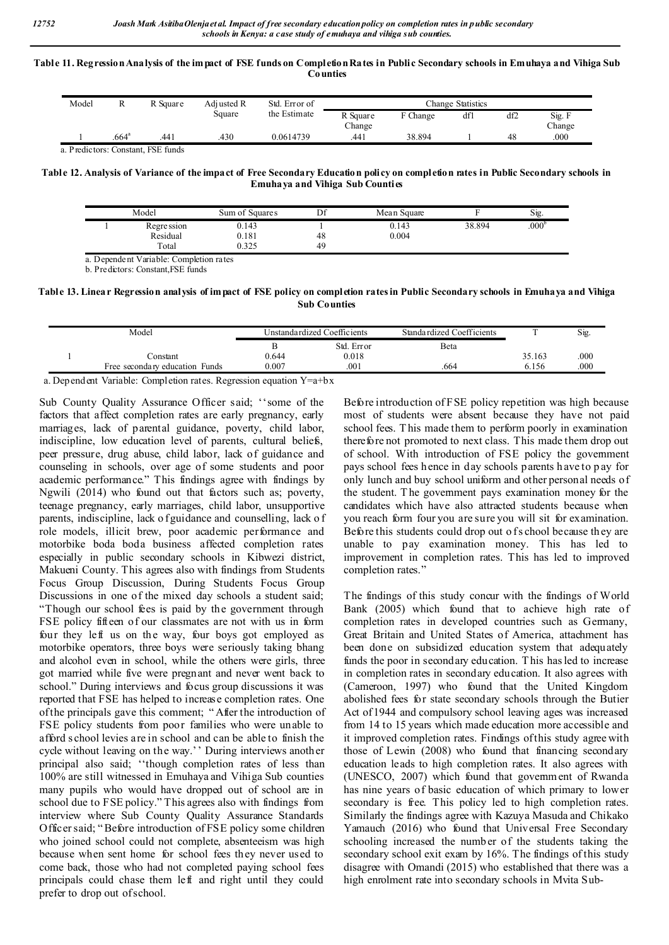#### **Table 11. Regression Analysis of the impact of FSE funds on Completion Rates in Public Secondary schools in Emuhaya and Vihiga Sub Counties**

| Model | R                   | R Square                           | Adi usted R | Std. Error of | Change Statistics  |          |     |     |                  |
|-------|---------------------|------------------------------------|-------------|---------------|--------------------|----------|-----|-----|------------------|
|       |                     |                                    | Square      | the Estimate  | R Square<br>Change | F Change | dfl | df2 | Sig. F<br>Change |
|       | $.664$ <sup>a</sup> | .441                               | .430        | 0.0614739     | .441               | 38.894   |     | 48  | .000             |
|       |                     | a. Predictors: Constant. FSE funds |             |               |                    |          |     |     |                  |

**Table 12. Analysis of Variance of the impact of Free Secondary Education policy on completion rates in Public Secondary schools in Emuhaya and Vihiga Sub Counties**

| Model                            | Sum of Squares                   | D£<br>יע | Mean Square    |        | Sig.              |
|----------------------------------|----------------------------------|----------|----------------|--------|-------------------|
| Regre ssion<br>Residual<br>Total | 0.143<br>0.181<br>ሰ ኃግድ<br>U.JZJ | 48<br>49 | 0.143<br>0.004 | 38.894 | .000 <sup>b</sup> |

a. Dependent Variable: Completion rates

b. Predictors: Constant,FSE funds

**Table 13. Linear Regression analysis of impact of FSE policy on completion rates in Public Secondary schools in Emuhaya and Vihiga Sub Counties**

| Model |                                | Unstandardized Coefficients |            | Standardized Coefficients |        | Sig. |
|-------|--------------------------------|-----------------------------|------------|---------------------------|--------|------|
|       |                                |                             | Std. Error | Beta                      |        |      |
|       | Constant                       | 0.644                       | 0.018      |                           | 35.163 | .000 |
|       | Free secondary education Funds | 0.007                       | .001       | .664                      | 6.156  | .000 |

a. Dependent Variable: Completion rates. Regression equation Y=a+bx

Sub County Quality Assurance Officer said; ''some of the factors that affect completion rates are early pregnancy, early marriages, lack of parental guidance, poverty, child labor, indiscipline, low education level of parents, cultural beliefs, peer pressure, drug abuse, child labor, lack of guidance and counseling in schools, over age of some students and poor academic performance." This findings agree with findings by Ngwili (2014) who found out that factors such as; poverty, teenage pregnancy, early marriages, child labor, unsupportive parents, indiscipline, lack o f guidance and counselling, lack o f role models, illicit brew, poor academic performance and motorbike boda boda business affected completion rates especially in public secondary schools in Kibwezi district, Makueni County. This agrees also with findings from Students Focus Group Discussion, During Students Focus Group Discussions in one of the mixed day schools a student said; "Though our school fees is paid by the government through FSE policy fifteen of our classmates are not with us in form four they left us on the way, four boys got employed as motorbike operators, three boys were seriously taking bhang and alcohol even in school, while the others were girls, three got married while five were pregnant and never went back to school." During interviews and focus group discussions it was reported that FSE has helped to increase completion rates. One of the principals gave this comment; " After the introduction of FSE policy students from poor families who were unable to afford s chool levies are in school and can be able to finish the cycle without leaving on the way.'' During interviews another principal also said; ''though completion rates of less than 100% are still witnessed in Emuhaya and Vihiga Sub counties many pupils who would have dropped out of school are in school due to FSE policy." This agrees also with findings from interview where Sub County Quality Assurance Standards Officer said; " Before introduction of FSE policy some children who joined school could not complete, absenteeism was high because when sent home for school fees they never used to come back, those who had not completed paying school fees principals could chase them left and right until they could prefer to drop out of school.

Before introduction of FSE policy repetition was high because most of students were absent because they have not paid school fees. T his made them to perform poorly in examination therefore not promoted to next class. This made them drop out of school. With introduction of FSE policy the government pays school fees hence in day schools parents h ave to p ay for only lunch and buy school uniform and other personal needs of the student. T he government pays examination money for the candidates which have also attracted students because when you reach form four you are sure you will sit for examination. Before this students could drop out of s chool because they are unable to pay examination money. This has led to improvement in completion rates. This has led to improved completion rates."

The findings of this study concur with the findings of World Bank (2005) which found that to achieve high rate of completion rates in developed countries such as Germany, Great Britain and United States of America, attachment has been done on subsidized education system that adequately funds the poor in secondary education. T his has led to increase in completion rates in secondary education. It also agrees with (Cameroon, 1997) who found that the United Kingdom abolished fees for state secondary schools through the Butier Act of 1944 and compulsory school leaving ages was increased from 14 to 15 years which made education more accessible and it improved completion rates. Findings of this study agree with those of Lewin (2008) who found that financing secondary education leads to high completion rates. It also agrees with (UNESCO, 2007) which found that government of Rwanda has nine years of basic education of which primary to lower secondary is free. This policy led to high completion rates. Similarly the findings agree with Kazuya Masuda and Chikako Yamauch (2016) who found that Universal Free Secondary schooling increased the number of the students taking the secondary school exit exam by 16%. The findings of this study disagree with Omandi (2015) who established that there was a high enrolment rate into secondary schools in Mvita Sub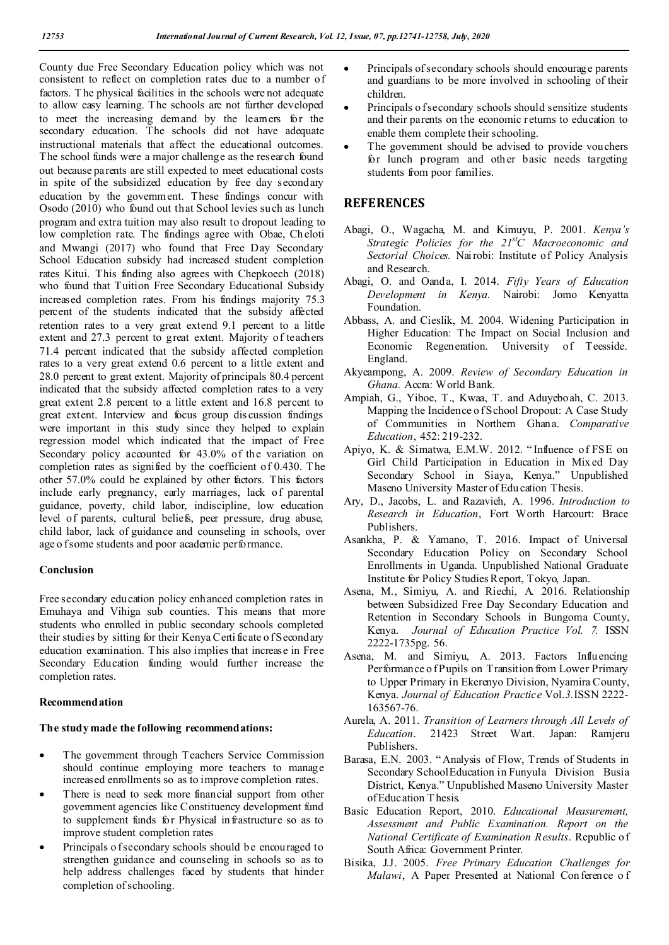County due Free Secondary Education policy which was not consistent to reflect on completion rates due to a number of factors. T he physical facilities in the schools were not adequate to allow easy learning. The schools are not further developed to meet the increasing demand by the learners for the secondary education. The schools did not have adequate instructional materials that affect the educational outcomes. The school funds were a major challenge as the research found out because parents are still expected to meet educational costs in spite of the subsidized education by free day secondary education by the government. These findings concur with Osodo (2010) who found out that School levies such as lunch program and extra tuition may also result to dropout leading to low completion rate. The findings agree with Obae, Ch eloti and Mwangi (2017) who found that Free Day Secondary School Education subsidy had increased student completion rates Kitui. This finding also agrees with Chepkoech (2018) who found that Tuition Free Secondary Educational Subsidy increased completion rates. From his findings majority 75.3 percent of the students indicated that the subsidy affected retention rates to a very great extend 9.1 percent to a little extent and 27.3 percent to great extent. Majority of teachers 71.4 percent indicated that the subsidy affected completion rates to a very great extend 0.6 percent to a little extent and 28.0 percent to great extent. Majority of principals 80.4 percent indicated that the subsidy affected completion rates to a very great extent 2.8 percent to a little extent and 16.8 percent to great extent. Interview and focus group dis cussion findings were important in this study since they helped to explain regression model which indicated that the impact of Free Secondary policy accounted for 43.0% of the variation on completion rates as signified by the coefficient of 0.430. T he other 57.0% could be explained by other factors. This factors include early pregnancy, early marriages, lack of parental guidance, poverty, child labor, indiscipline, low education level of parents, cultural beliefs, peer pressure, drug abuse, child labor, lack of guidance and counseling in schools, over age o f some students and poor academic performance.

## **Conclusion**

Free secondary education policy enhanced completion rates in Emuhaya and Vihiga sub counties. This means that more students who enrolled in public secondary schools completed their studies by sitting for their Kenya Certi ficate of Secondary education examination. This also implies that increase in Free Secondary Education funding would further increase the completion rates.

### **Recommendation**

### **The study made the following recommendations:**

- The government through Teachers Service Commission should continue employing more teachers to manage increased enrollments so as to improve completion rates.
- There is need to seek more financial support from other government agencies like Constituency development fund to supplement funds for Physical infrastructure so as to improve student completion rates
- Principals o f secondary schools should be encouraged to strengthen guidance and counseling in schools so as to help address challenges faced by students that hinder completion of schooling.
- Principals of secondary schools should encourage parents and guardians to be more involved in schooling of their children.
- Principals o f secondary schools should sensitize students and their parents on the economic returns to education to enable them complete their schooling.
- The government should be advised to provide vouchers for lunch program and other basic needs targeting students from poor families.

### **REFERENCES**

- Abagi, O., Wagacha, M. and Kimuyu, P. 2001. *Kenya's Strategic Policies for the 21stC Macroeconomic and Sectorial Choices.* Nairobi: Institute of Policy Analysis and Research.
- Abagi, O. and Oanda, I. 2014. *Fifty Years of Education Development in Kenya.* Nairobi: Jomo Kenyatta Foundation.
- Abbass, A. and Cieslik, M. 2004. Widening Participation in Higher Education: The Impact on Social Inclusion and Economic Regeneration. University of Teesside. England.
- Akyeampong, A. 2009. *Review of Secondary Education in Ghana*. Accra: World Bank.
- Ampiah, G., Yiboe, T., Kwaa, T. and Aduyeboah, C. 2013. Mapping the Incidence o f School Dropout: A Case Study of Communities in Northern Ghana. *Comparative Education*, 452: 219-232.
- Apiyo, K. & Simatwa, E.M.W. 2012. " Influence of FSE on Girl Child Participation in Education in Mix ed Day Secondary School in Siaya, Kenya." Unpublished Maseno University Master of Edu cation Thesis.
- Ary, D., Jacobs, L. and Razavieh, A. 1996. *Introduction to Research in Education*, Fort Worth Harcourt: Brace Publishers.
- Asankha, P. & Yamano, T. 2016. Impact of Universal Secondary Education Policy on Secondary School Enrollments in Uganda. Unpublished National Graduate Institute for Policy Studies Report, Tokyo, Japan.
- Asena, M., Simiyu, A. and Riechi, A. 2016. Relationship between Subsidized Free Day Secondary Education and Retention in Secondary Schools in Bungoma County, Kenya. *Journal of Education Practice Vol. 7.* ISSN 2222-1735pg. 56.
- Asena, M. and Simiyu, A. 2013. Factors Influencing Performance o fPupils on Transition from Lower Primary to Upper Primary in Ekerenyo Division, Nyamira County, Kenya. *Journal of Education Practice* Vol.*3.*ISSN 2222- 163567-76.
- Aurela, A. 2011. *Transition of Learners through All Levels of Education*. 21423 Street Wart. Japan: Ramjeru Publishers.
- Barasa, E.N. 2003. " Analysis of Flow, Trends of Students in Secondary SchoolEducation in Funyula Division Busia District, Kenya." Unpublished Maseno University Master of Education T hesis.
- Basic Education Report, 2010. *Educational Measurement, Assessment and Public Examination. Report on the National Certificate of Examination Results*. Republic o f South Africa: Government Printer.
- Bisika, J.J. 2005. *Free Primary Education Challenges for Malawi*, A Paper Presented at National Con ference o f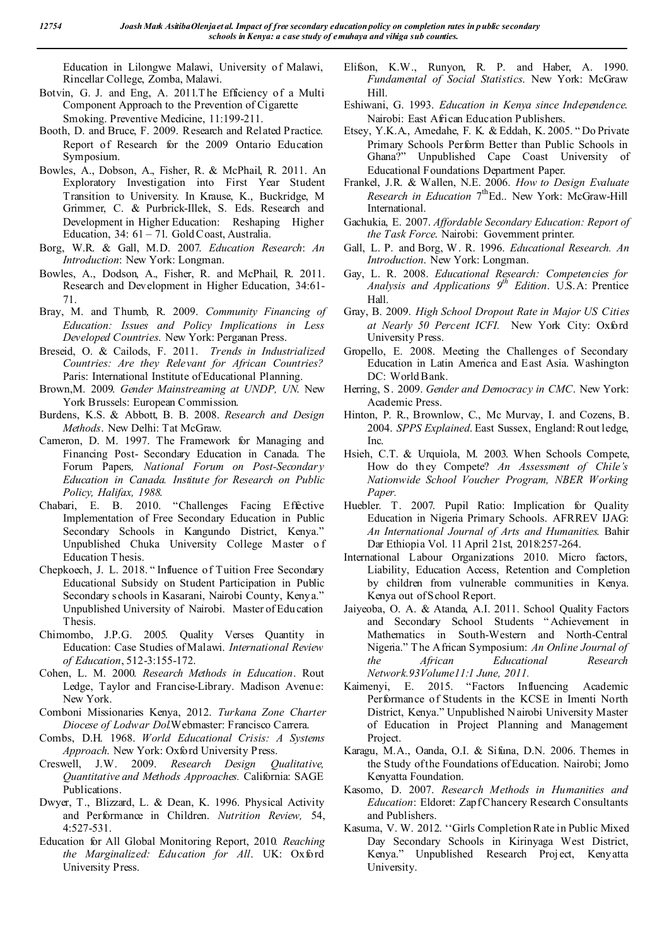Education in Lilongwe Malawi, University of Malawi, Rincellar College, Zomba, Malawi.

- Botvin, G. J. and Eng, A. 2011.T he Efficiency of a Multi Component Approach to the Prevention of Cigarette Smoking. Preventive Medicine, 11:199-211.
- Booth, D. and Bruce, F. 2009. Research and Related Practice. Report of Research for the 2009 Ontario Education Symposium.
- Bowles, A., Dobson, A., Fisher, R. & McPhail, R. 2011. An Exploratory Investigation into First Year Student Transition to University. In Krause, K., Buckridge, M Grimmer, C. & Purbrick-Illek, S. Eds. Research and Development in Higher Education: Reshaping Higher Education, 34: 61 – 71. Gold Coast, Australia.
- Borg, W.R. & Gall, M.D. 2007. *Education Research*: *An Introduction*: New York: Longman.
- Bowles, A., Dodson, A., Fisher, R. and McPhail, R. 2011. Research and Development in Higher Education, 34:61- 71.
- Bray, M. and Thumb, R. 2009. *Community Financing of Education: Issues and Policy Implications in Less Developed Countries*. New York: Perganan Press.
- Breseid, O. & Cailods, F. 2011. *Trends in Industrialized Countries: Are they Relevant for African Countries?*  Paris: International Institute of Educational Planning.
- Brown,M. 2009. *Gender Mainstreaming at UNDP, UN*. New York Brussels: European Commission.
- Burdens, K.S. & Abbott, B. B. 2008. *Research and Design Methods*. New Delhi: Tat McGraw.
- Cameron, D. M. 1997. The Framework for Managing and Financing Post- Secondary Education in Canada. The Forum Papers*, National Forum on Post-Secondary Education in Canada. Institute for Research on Public Policy, Halifax, 1988*.
- Chabari, E. B. 2010. "Challenges Facing Effective Implementation of Free Secondary Education in Public Secondary Schools in Kangundo District, Kenya." Unpublished Chuka University College Master o f Education T hesis.
- Chepkoech, J. L. 2018. " Influence of Tuition Free Secondary Educational Subsidy on Student Participation in Public Secondary s chools in Kasarani, Nairobi County, Kenya." Unpublished University of Nairobi. Master of Edu cation Thesis.
- Chimombo, J.P.G. 2005. Quality Verses Quantity in Education: Case Studies of Malawi. *International Review of Education*, 512-3:155-172.
- Cohen, L. M. 2000. *Research Methods in Education*. Rout Ledge, Taylor and Francise-Library. Madison Avenue: New York.
- Comboni Missionaries Kenya, 2012. *Turkana Zone Charter Diocese of Lodwar Dol.*Webmaster: Francisco Carrera.
- Combs, D.H. 1968. *World Educational Crisis: A Systems Approach*. New York: Oxford University Press.
- Creswell, J.W. 2009. *Research Design Qualitative, Quantitative and Methods Approaches.* California: SAGE Publications.
- Dwyer, T., Blizzard, L. & Dean, K. 1996. Physical Activity and Performance in Children. *Nutrition Review,* 54, 4:527-531.
- Education for All Global Monitoring Report, 2010*. Reaching the Marginalized: Education for All*. UK: Oxford University Press.
- Elifson, K.W., Runyon, R. P. and Haber, A. 1990. *Fundamental of Social Statistics*. New York: McGraw Hill.
- Eshiwani, G. 1993. *Education in Kenya since Independence*. Nairobi: East African Education Publishers.
- Etsey, Y.K.A., Amedahe, F. K. & Eddah, K. 2005. " Do Private Primary Schools Perform Better than Public Schools in Ghana?" Unpublished Cape Coast University of Educational Foundations Department Paper.
- Frankel, J.R. & Wallen, N.E. 2006. *How to Design Evaluate*  Research in Education 7<sup>th</sup>Ed.. New York: McGraw-Hill International.
- Gachukia, E. 2007. *Affordable Secondary Education: Report of the Task Force*. Nairobi: Government printer.
- Gall, L. P. and Borg, W. R. 1996. *Educational Research. An Introduction*. New York: Longman.
- Gay, L. R. 2008. *Educational Research: Competencies for Analysis and Applications 9th Edition*. U.S.A: Prentice Hall.
- Gray, B. 2009. *High School Dropout Rate in Major US Cities at Nearly 50 Percent ICFI.* New York City: Oxford University Press.
- Gropello, E. 2008. Meeting the Challenges of Secondary Education in Latin America and East Asia. Washington DC: World Bank.
- Herring, S. 2009. *Gender and Democracy in CMC*. New York: Academic Press.
- Hinton, P. R., Brownlow, C., Mc Murvay, I. and Cozens, B. 2004. *SPPS Explained*. East Sussex, England: Rout ledge, Inc.
- Hsieh, C.T. & Urquiola, M. 2003. When Schools Compete, How do they Compete? *An Assessment of Chile's Nationwide School Voucher Program, NBER Working Paper.*
- Huebler. T. 2007. Pupil Ratio: Implication for Quality Education in Nigeria Primary Schools. AFRREV IJAG: *An International Journal of Arts and Humanities*. Bahir Dar Ethiopia Vol. 11 April 21st, 2018:257-264.
- International Labour Organizations 2010. Micro factors, Liability, Education Access, Retention and Completion by children from vulnerable communities in Kenya. Kenya out of School Report.
- Jaiyeoba, O. A. & Atanda, A.I. 2011. School Quality Factors and Secondary School Students " Achievement in Mathematics in South-Western and North-Central Nigeria." The African Symposium: *An Online Journal of the African Educational Research Network.93Volume11:1 June, 2011.*
- Kaimenyi, E. 2015. "Factors Influencing Academic Performance of Students in the KCSE in Imenti North District, Kenya." Unpublished Nairobi University Master of Education in Project Planning and Management Project.
- Karagu, M.A., Oanda, O.I. & Sifuna, D.N. 2006. Themes in the Study of the Foundations of Education. Nairobi; Jomo Kenyatta Foundation.
- Kasomo, D. 2007. *Research Methods in Humanities and Education*: Eldoret: Zapf Chancery Research Consultants and Publishers.
- Kasuma, V. W. 2012. ''Girls Completion Rate in Public Mixed Day Secondary Schools in Kirinyaga West District, Kenya." Unpublished Research Proj ect, Kenyatta University.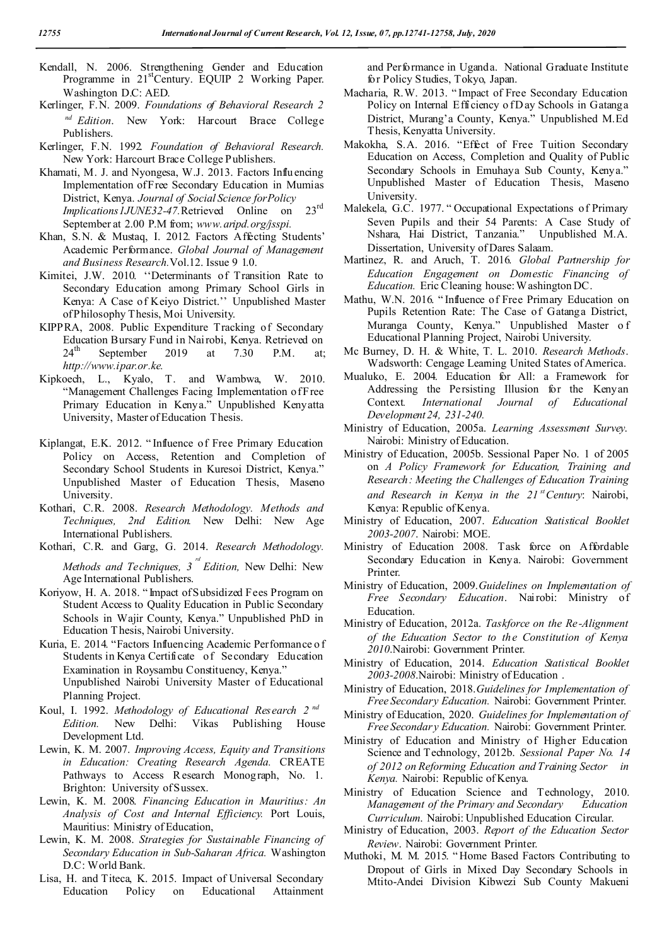- Kendall, N. 2006. Strengthening Gender and Education Programme in 21<sup>st</sup>Century. EQUIP 2 Working Paper. Washington D.C: AED.
- Kerlinger, F.N. 2009. *Foundations of Behavioral Research 2 nd Edition*. New York: Harcourt Brace College Publishers.
- Kerlinger, F.N. 1992*. Foundation of Behavioral Research.* New York: Harcourt Brace College Publishers.
- Khamati, M. J. and Nyongesa, W.J. 2013. Factors Influencing Implementation of Free Secondary Education in Mumias District, Kenya. *Journal of Social Science forPolicy Implications IJUNE32-47*. Retrieved Online on 23<sup>rd</sup> September at 2.00 P.M from; *www.aripd.org/jsspi.*
- Khan, S.N. & Mustaq, I. 2012. Factors Affecting Students' Academic Performance. *Global Journal of Management and Business Research.*Vol.12. Issue 9 1.0.
- Kimitei, J.W. 2010. ''Determinants of Transition Rate to Secondary Education among Primary School Girls in Kenya: A Case of Keiyo District.'' Unpublished Master of Philosophy Thesis, Moi University.
- KIPPRA, 2008. Public Expenditure Tracking of Secondary Education Bursary Fund in Nairobi, Kenya. Retrieved on  $24<sup>th</sup>$  September 2019 at 7.30 P.M. at; *http://www.ipar.or.ke.*
- Kipkoech, L., Kyalo, T. and Wambwa, W. 2010. "Management Challenges Facing Implementation of Free Primary Education in Kenya." Unpublished Kenyatta University, Master of Education Thesis.
- Kiplangat, E.K. 2012. " Influence of Free Primary Education Policy on Access, Retention and Completion of Secondary School Students in Kuresoi District, Kenya." Unpublished Master of Education Thesis, Maseno University.
- Kothari, C.R. 2008. *Research Methodology. Methods and Techniques, 2nd Edition.* New Delhi: New Age International Publishers.
- Kothari, C.R. and Garg, G. 2014. *Research Methodology.*

*Methods and Techniques, 3 rd Edition,* New Delhi: New Age International Publishers.

- Koriyow, H. A. 2018. "Impact of Subsidized Fees Program on Student Access to Quality Education in Public Secondary Schools in Wajir County, Kenya." Unpublished PhD in Education T hesis, Nairobi University.
- Kuria, E. 2014. "Factors Influencing Academic Performance o f Students in Kenya Certificate of Secondary Education Examination in Roysambu Constituency, Kenya." Unpublished Nairobi University Master of Educational Planning Project.
- Koul, I. 1992. *Methodology of Educational Research 2 nd Edition.* New Delhi: Vikas Publishing House Development Ltd.
- Lewin, K. M. 2007. *Improving Access, Equity and Transitions in Education: Creating Research Agenda.* CREATE Pathways to Access R esearch Monograph, No. 1. Brighton: University of Sussex.
- Lewin, K. M. 2008. *Financing Education in Mauritius: An Analysis of Cost and Internal Efficiency.* Port Louis, Mauritius: Ministry of Education,
- Lewin, K. M. 2008. *Strategies for Sustainable Financing of Secondary Education in Sub-Saharan Africa.* Washington D.C: World Bank.
- Lisa, H. and Titeca, K. 2015. Impact of Universal Secondary Education Policy on Educational Attainment

and Performance in Uganda. National Graduate Institute for Policy Studies, Tokyo, Japan.

- Macharia, R.W. 2013. " Impact of Free Secondary Education Policy on Internal Efficiency of Day Schools in Gatanga District, Murang'a County, Kenya." Unpublished M.Ed Thesis, Kenyatta University.
- Makokha, S.A. 2016. "Effect of Free Tuition Secondary Education on Access, Completion and Quality of Public Secondary Schools in Emuhaya Sub County, Kenya." Unpublished Master of Education Thesis, Maseno University.
- Malekela, G.C. 1977. " Occupational Expectations of Primary Seven Pupils and their 54 Parents: A Case Study of Nshara, Hai District, Tanzania." Unpublished M.A. Dissertation, University of Dares Salaam.
- Martinez, R. and Aruch, T. 2016. *Global Partnership for Education Engagement on Domestic Financing of Education.* Eric Cleaning house: Washington DC.
- Mathu, W.N. 2016. " Influence of Free Primary Education on Pupils Retention Rate: The Case of Gatanga District, Muranga County, Kenya." Unpublished Master o f Educational Planning Project, Nairobi University.
- Mc Burney, D. H. & White, T. L. 2010. *Research Methods*. Wadsworth: Cengage Learning United States of America.
- Mualuko, E. 2004. Education for All: a Framework for Addressing the Persisting Illusion for the Kenyan Context*. International Journal of Educational Development24, 231-240.*
- Ministry of Education, 2005a. *Learning Assessment Survey*. Nairobi: Ministry of Education.
- Ministry of Education, 2005b. Sessional Paper No. 1 of 2005 on *A Policy Framework for Education, Training and Research: Meeting the Challenges of Education Training*  and Research in Kenya in the 21<sup>st</sup> Century: Nairobi, Kenya: Republic of Kenya.
- Ministry of Education, 2007. *Education Statistical Booklet 2003-2007*. Nairobi: MOE.
- Ministry of Education 2008. Task force on Affordable Secondary Education in Kenya. Nairobi: Government Printer.
- Ministry of Education, 2009.*Guidelines on Implementation of Free Secondary Education*. Nairobi: Ministry of Education.
- Ministry of Education, 2012a. *Taskforce on the Re-Alignment of the Education Sector to the Constitution of Kenya 2010*.Nairobi: Government Printer.
- Ministry of Education, 2014. *Education Statistical Booklet 2003-2008*.Nairobi: Ministry of Education .
- Ministry of Education, 2018.*Guidelines for Implementation of Free Secondary Education.* Nairobi: Government Printer.
- Ministry of Education, 2020. *Guidelines for Implementation of Free Secondary Education.* Nairobi: Government Printer.
- Ministry of Education and Ministry of Higher Education Science and Technology, 2012b. *Sessional Paper No. 14 of 2012 on Reforming Education and Training Sector in Kenya.* Nairobi: Republic of Kenya.
- Ministry of Education Science and Technology, 2010. *Management of the Primary and Secondary Education Curriculum*. Nairobi: Unpublished Education Circular.
- Ministry of Education, 2003. *Report of the Education Sector Review*. Nairobi: Government Printer.
- Muthoki, M. M. 2015. " Home Based Factors Contributing to Dropout of Girls in Mixed Day Secondary Schools in Mtito-Andei Division Kibwezi Sub County Makueni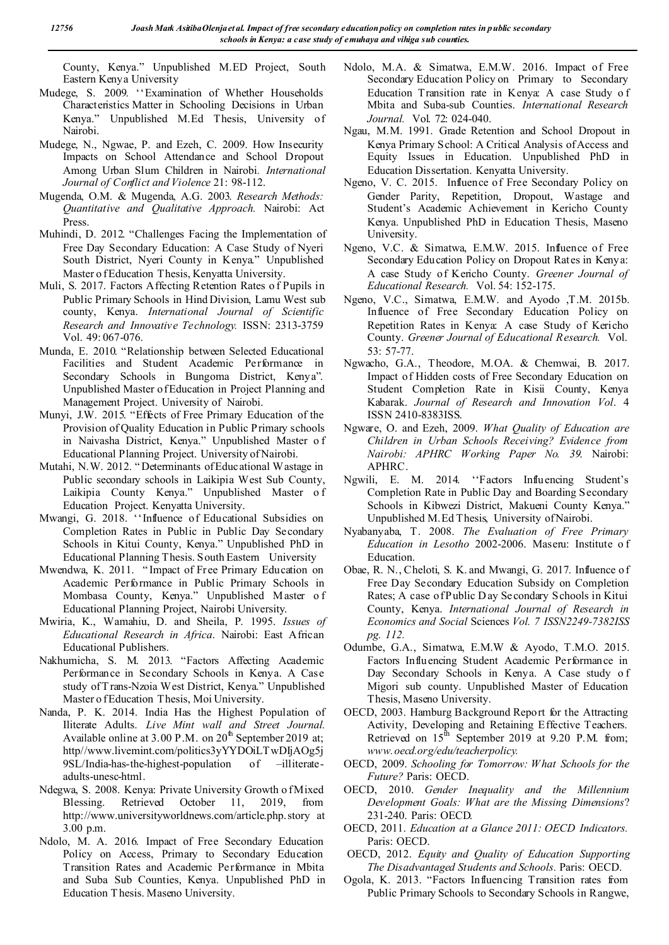County, Kenya." Unpublished M.ED Project, South Eastern Kenya University

- Mudege, S. 2009. ''Examination of Whether Households Characteristics Matter in Schooling Decisions in Urban Kenya." Unpublished M.Ed Thesis, University of Nairobi.
- Mudege, N., Ngwae, P. and Ezeh, C. 2009. How Insecurity Impacts on School Attendance and School Dropout Among Urban Slum Children in Nairobi*. International Journal of Conflict and Violence* 21: 98-112.
- Mugenda, O.M. & Mugenda, A.G. 2003. *Research Methods: Quantitative and Qualitative Approach.* Nairobi: Act Press.
- Muhindi, D. 2012. "Challenges Facing the Implementation of Free Day Secondary Education: A Case Study of Nyeri South District, Nyeri County in Kenya." Unpublished Master o f Education Thesis, Kenyatta University.
- Muli, S. 2017. Factors Affecting Retention Rates o f Pupils in Public Primary Schools in Hind Division, Lamu West sub county, Kenya. *International Journal of Scientific Research and Innovative Technology.* ISSN: 2313-3759 Vol. 49: 067-076.
- Munda, E. 2010. "Relationship between Selected Educational Facilities and Student Academic Performance in Secondary Schools in Bungoma District, Kenya". Unpublished Master of Education in Project Planning and Management Project. University of Nairobi.
- Munyi, J.W. 2015. "Effects of Free Primary Education of the Provision of Quality Education in Public Primary schools in Naivasha District, Kenya." Unpublished Master o f Educational Planning Project. University of Nairobi.
- Mutahi, N.W. 2012. " Determinants of Educational Wastage in Public secondary schools in Laikipia West Sub County, Laikipia County Kenya." Unpublished Master o f Education Project. Kenyatta University.
- Mwangi, G. 2018. ''Influence of Educational Subsidies on Completion Rates in Public in Public Day Secondary Schools in Kitui County, Kenya." Unpublished PhD in Educational Planning Thesis. South Eastern University
- Mwendwa, K. 2011. " Impact of Free Primary Education on Academic Performance in Public Primary Schools in Mombasa County, Kenya." Unpublished Master o f Educational Planning Project, Nairobi University.
- Mwiria, K., Wamahiu, D. and Sheila, P. 1995. *Issues of Educational Research in Africa*. Nairobi: East African Educational Publishers.
- Nakhumicha, S. M. 2013. "Factors Affecting Academic Performance in Secondary Schools in Kenya. A Case study of T rans-Nzoia West District, Kenya." Unpublished Master o f Education Thesis, Moi University.
- Nanda, P. K. 2014. India Has the Highest Population of Iliterate Adults. *Live Mint wall and Street Journal.* Available online at  $3.00$  P.M. on  $20<sup>th</sup>$  September 2019 at; http//www.livemint.com/politics3yYYDOiLTwDIjAOg5j 9SL/India-has-the-highest-population of –illiterateadults-unesc-html.
- Ndegwa, S. 2008. Kenya: Private University Growth of Mixed Blessing. Retrieved October 11, 2019, from http://www.universityworldnews.com/article.php.story at 3.00 p.m.
- Ndolo, M. A. 2016. Impact of Free Secondary Education Policy on Access, Primary to Secondary Education Transition Rates and Academic Performance in Mbita and Suba Sub Counties, Kenya. Unpublished PhD in Education T hesis. Maseno University.
- Ndolo, M.A. & Simatwa, E.M.W. 2016. Impact of Free Secondary Education Policy on Primary to Secondary Education Transition rate in Kenya: A case Study o f Mbita and Suba-sub Counties. *International Research Journal.* Vol. 72: 024-040.
- Ngau, M.M. 1991. Grade Retention and School Dropout in Kenya Primary School: A Critical Analysis of Access and Equity Issues in Education. Unpublished PhD in Education Dissertation. Kenyatta University.
- Ngeno, V. C. 2015. Influence of Free Secondary Policy on Gender Parity, Repetition, Dropout, Wastage and Student's Academic Achievement in Kericho County Kenya. Unpublished PhD in Education Thesis, Maseno University.
- Ngeno, V.C. & Simatwa, E.M.W. 2015. Influence of Free Secondary Education Policy on Dropout Rates in Kenya: A case Study of Kericho County. *Greener Journal of Educational Research.* Vol. 54: 152-175.
- Ngeno, V.C., Simatwa, E.M.W. and Ayodo ,T.M. 2015b. Influence of Free Secondary Education Policy on Repetition Rates in Kenya: A case Study of Kericho County. *Greener Journal of Educational Research.* Vol. 53: 57-77.
- Ngwacho, G.A., Theodore, M.OA. & Chemwai, B. 2017. Impact of Hidden costs of Free Secondary Education on Student Completion Rate in Kisii County, Kenya Kabarak. *Journal of Research and Innovation Vol*. 4 ISSN 2410-8383ISS.
- Ngware, O. and Ezeh, 2009. *What Quality of Education are Children in Urban Schools Receiving? Evidence from Nairobi: APHRC Working Paper No. 39*. Nairobi: APHRC.
- Ngwili, E. M. 2014. ''Factors Influencing Student's Completion Rate in Public Day and Boarding Secondary Schools in Kibwezi District, Makueni County Kenya." Unpublished M.Ed Thesis, University of Nairobi.
- Nyabanyaba, T. 2008. *The Evaluation of Free Primary Education in Lesotho* 2002-2006. Maseru: Institute o f Education.
- Obae, R. N., Cheloti, S. K. and Mwangi, G. 2017. Influence o f Free Day Secondary Education Subsidy on Completion Rates; A case of Public D ay Secondary Schools in Kitui County, Kenya. *International Journal of Research in Economics and Social* Sciences *Vol. 7 ISSN2249-7382ISS pg. 112.*
- Odumbe, G.A., Simatwa, E.M.W & Ayodo, T.M.O. 2015. Factors Influencing Student Academic Performance in Day Secondary Schools in Kenya. A Case study o f Migori sub county. Unpublished Master of Education Thesis, Maseno University.
- OECD, 2003. Hamburg Background Report for the Attracting Activity, Developing and Retaining Effective Teachers. Retrieved on 15<sup>th</sup> September 2019 at 9.20 P.M. from; *www.oecd.org/edu/teacherpolicy.*
- OECD, 2009. *Schooling for Tomorrow: What Schools for the Future?* Paris: OECD.
- OECD, 2010. *Gender Inequality and the Millennium Development Goals: What are the Missing Dimensions*? 231-240. Paris: OECD.
- OECD, 2011. *Education at a Glance 2011: OECD Indicators.*  Paris: OECD.
- OECD, 2012. *Equity and Quality of Education Supporting The Disadvantaged Students and Schools.* Paris: OECD.
- Ogola, K. 2013. "Factors Influencing Transition rates from Public Primary Schools to Secondary Schools in Rangwe,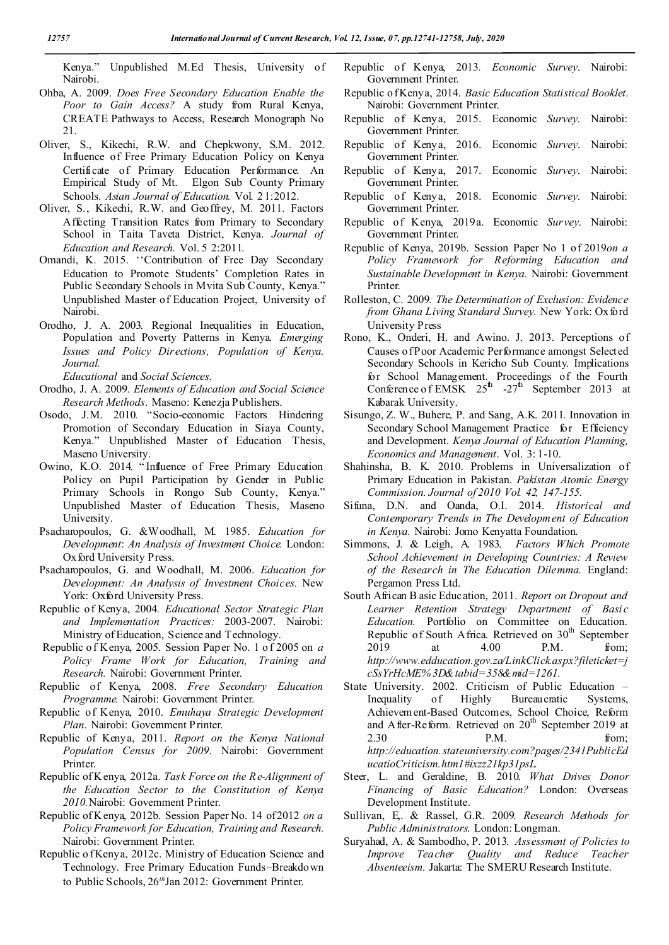Kenya." Unpublished M.Ed Thesis, University of Nairobi.

- Ohba, A. 2009. *Does Free Secondary Education Enable the Poor to Gain Access?* A study from Rural Kenya, CREATE Pathways to Access, Research Monograph No 21.
- Oliver, S., Kikechi, R.W. and Chepkwony, S.M. 2012. Influence of Free Primary Education Policy on Kenya Certificate of Primary Education Performance. An Empirical Study of Mt. Elgon Sub County Primary Schools. *Asian Journal of Education.* Vol. 2 1:2012.
- Oliver, S., Kikechi, R.W. and Geoffrey, M. 2011. Factors Affecting Transition Rates from Primary to Secondary School in Taita Taveta District, Kenya. *Journal of Education and Research.* Vol. 5 2:2011.
- Omandi, K. 2015. ''Contribution of Free Day Secondary Education to Promote Students' Completion Rates in Public Secondary Schools in Mvita Sub County, Kenya." Unpublished Master of Education Project, University of Nairobi.
- Orodho, J. A. 2003. Regional Inequalities in Education, Population and Poverty Patterns in Kenya*. Emerging Issues and Policy Directions, Population of Kenya. Journal.*

*Educational* and *Social Sciences*.

- Orodho, J. A. 2009. *Elements of Education and Social Science Research Methods*. Maseno: Kenezja Publishers.
- Osodo, J.M. 2010. "Socio-economic Factors Hindering Promotion of Secondary Education in Siaya County, Kenya." Unpublished Master of Education Thesis, Maseno University.
- Owino, K.O. 2014. " Influence of Free Primary Education Policy on Pupil Participation by Gender in Public Primary Schools in Rongo Sub County, Kenya." Unpublished Master of Education Thesis, Maseno University.
- Psacharopoulos, G. &Woodhall, M. 1985. *Education for Development*: *An Analysis of Investment Choice.* London: Oxford University Press.
- Psacharopoulos, G. and Woodhall, M. 2006. *Education for Development: An Analysis of Investment Choices.* New York: Oxford University Press.
- Republic of Kenya, 2004*. Educational Sector Strategic Plan and Implementation Practices:* 2003-2007. Nairobi: Ministry of Education, Science and Technology.
- Republic o f Kenya, 2005. Session Paper No. 1 o f 2005 on *a Policy Frame Work for Education, Training and Research.* Nairobi: Government Printer.
- Republic of Kenya, 2008. *Free Secondary Education Programme.* Nairobi: Government Printer.
- Republic of Kenya, 2010. *Emuhaya Strategic Development Plan*. Nairobi: Government Printer.
- Republic of Kenya, 2011. *Report on the Kenya National Population Census for 2009*. Nairobi: Government Printer.
- Republic of K enya, 2012a. *Task Force on the Re-Alignment of the Education Sector to the Constitution of Kenya 2010.*Nairobi: Government Printer.
- Republic of K enya, 2012b. Session Paper No. 14 of 2012 *on a Policy Framework for Education, Training and Research.*  Nairobi: Government Printer.
- Republic o f Kenya, 2012c. Ministry of Education Science and Technology. Free Primary Education Funds–Breakdown to Public Schools, 26*th*Jan 2012: Government Printer.
- Republic of Kenya, 2013*. Economic Survey*. Nairobi: Government Printer.
- Republic o f Kenya, 2014. *Basic Education Statistical Booklet*. Nairobi: Government Printer.
- Republic of Kenya, 2015. Economic *Survey*. Nairobi: Government Printer.
- Republic of Kenya, 2016. Economic *Survey*. Nairobi: Government Printer.
- Republic of Kenya, 2017. Economic *Survey*. Nairobi: Government Printer.
- Republic of Kenya, 2018. Economic *Survey*. Nairobi: Government Printer.
- Republic of Kenya, 2019a. Economic *Survey*. Nairobi: Government Printer.
- Republic of Kenya, 2019b. Session Paper No 1 of 2019*on a Policy Framework for Reforming Education and Sustainable Development in Kenya.* Nairobi: Government Printer.
- Rolleston, C. 2009*. The Determination of Exclusion: Evidence from Ghana Living Standard Survey. New York: Oxford* University Press
- Rono, K., Onderi, H. and Awino. J. 2013. Perceptions of Causes of Poor Academic Performance amongst Selected Secondary Schools in Kericho Sub County. Implications for School Management. Proceedings of the Fourth Conference of EMSK  $25^{\text{th}}$  -27<sup>th</sup> September 2013 at Kabarak University.
- Sisungo, Z. W., Buhere, P. and Sang, A.K. 2011. Innovation in Secondary School Management Practice for Efficiency and Development. *Kenya Journal of Education Planning, Economics and Management*. Vol. 3: 1-10.
- Shahinsha, B. K. 2010. Problems in Universalization of Primary Education in Pakistan. *Pakistan Atomic Energy Commission. Journal of 2010 Vol. 42, 147-155.*
- Sifuna, D.N. and Oanda, O.I. 2014. *Historical and Contemporary Trends in The Development of Education in Kenya.* Nairobi: Jomo Kenyatta Foundation.
- Simmons, J. & Leigh, A. 1983. *Factors Which Promote School Achievement in Developing Countries: A Review of the Research in The Education Dilemma.* England: Pergamon Press Ltd.
- South African B asic Education, 2011. *Report on Dropout and Learner Retention Strategy Department of Basic Education.* Portfolio on Committee on Education. Republic of South Africa. Retrieved on 30<sup>th</sup> September 2019 at 4.00 P.M. from; *http://www.edducation.gov.za/LinkClick.aspx?fileticket=j cSsYrHcME% 3D&tabid=358&mid=1261.*
- State University. 2002. Criticism of Public Education Inequality of Highly Bureaucratic Systems, Achievement-Based Outcomes, School Choice, Reform and After-Reform. Retrieved on  $20^{th}$  September 2019 at 2.30 **P.M.** from; *http://education.stateuniversity.com?pages/2341PublicEd ucatioCriticism.htm1#ixzz21kp31psL.*
- Steer, L. and Geraldine, B. 2010. *What Drives Donor Financing of Basic Education?* London: Overseas Development Institute.
- Sullivan, E,. & Rassel, G.R. 2009. *Research Methods for Public Administrators*. London: Longman.
- Suryahad, A. & Sambodho, P. 2013*. Assessment of Policies to Improve Teacher Quality and Reduce Teacher Absenteeism.* Jakarta: The SMERU Research Institute.